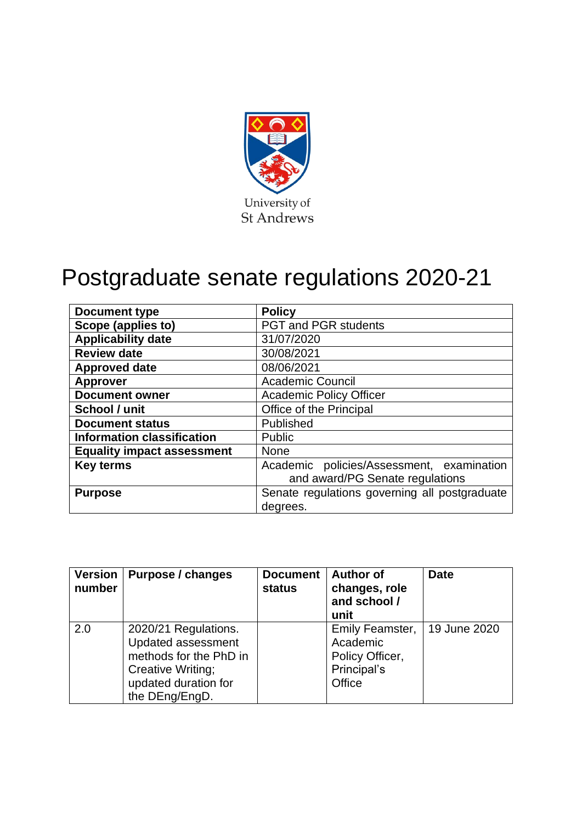

# Postgraduate senate regulations 2020-21

| <b>Document type</b>              | <b>Policy</b>                                 |  |
|-----------------------------------|-----------------------------------------------|--|
| Scope (applies to)                | <b>PGT and PGR students</b>                   |  |
| <b>Applicability date</b>         | 31/07/2020                                    |  |
| <b>Review date</b>                | 30/08/2021                                    |  |
| <b>Approved date</b>              | 08/06/2021                                    |  |
| <b>Approver</b>                   | <b>Academic Council</b>                       |  |
| <b>Document owner</b>             | <b>Academic Policy Officer</b>                |  |
| School / unit                     | Office of the Principal                       |  |
| <b>Document status</b>            | Published                                     |  |
| <b>Information classification</b> | <b>Public</b>                                 |  |
| <b>Equality impact assessment</b> | <b>None</b>                                   |  |
| <b>Key terms</b>                  | Academic policies/Assessment, examination     |  |
|                                   | and award/PG Senate regulations               |  |
| <b>Purpose</b>                    | Senate regulations governing all postgraduate |  |
|                                   | degrees.                                      |  |

| <b>Version</b><br>number | <b>Purpose / changes</b>                                                                                                                   | <b>Document</b><br><b>status</b> | <b>Author of</b><br>changes, role<br>and school /<br>unit               | <b>Date</b>  |
|--------------------------|--------------------------------------------------------------------------------------------------------------------------------------------|----------------------------------|-------------------------------------------------------------------------|--------------|
| 2.0                      | 2020/21 Regulations.<br><b>Updated assessment</b><br>methods for the PhD in<br>Creative Writing;<br>updated duration for<br>the DEng/EngD. |                                  | Emily Feamster,<br>Academic<br>Policy Officer,<br>Principal's<br>Office | 19 June 2020 |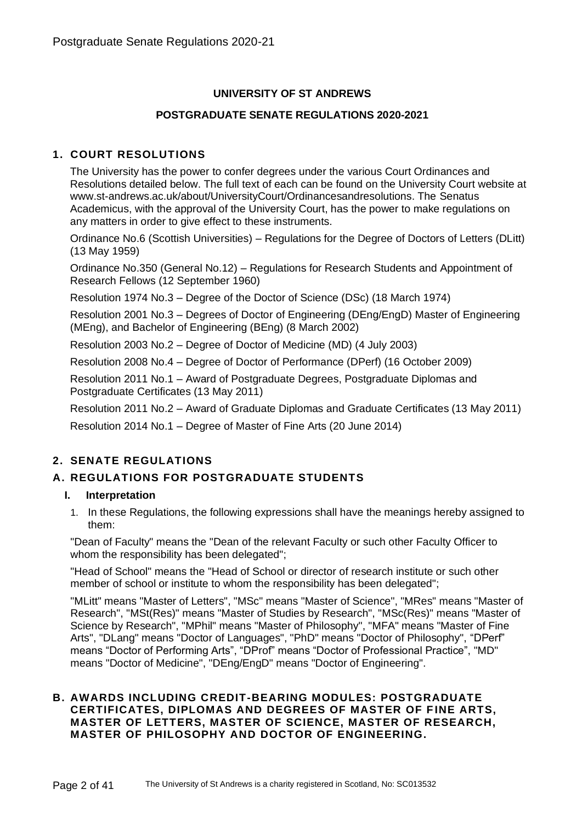# **UNIVERSITY OF ST ANDREWS**

## **POSTGRADUATE SENATE REGULATIONS 2020-2021**

## **1. COURT RESOLUTIONS**

The University has the power to confer degrees under the various Court Ordinances and Resolutions detailed below. The full text of each can be found on the University Court website at www.st-andrews.ac.uk/about/UniversityCourt/Ordinancesandresolutions. The Senatus Academicus, with the approval of the University Court, has the power to make regulations on any matters in order to give effect to these instruments.

Ordinance No.6 (Scottish Universities) – Regulations for the Degree of Doctors of Letters (DLitt) (13 May 1959)

Ordinance No.350 (General No.12) – Regulations for Research Students and Appointment of Research Fellows (12 September 1960)

Resolution 1974 No.3 – Degree of the Doctor of Science (DSc) (18 March 1974)

Resolution 2001 No.3 – Degrees of Doctor of Engineering (DEng/EngD) Master of Engineering (MEng), and Bachelor of Engineering (BEng) (8 March 2002)

Resolution 2003 No.2 – Degree of Doctor of Medicine (MD) (4 July 2003)

Resolution 2008 No.4 – Degree of Doctor of Performance (DPerf) (16 October 2009)

Resolution 2011 No.1 – Award of Postgraduate Degrees, Postgraduate Diplomas and Postgraduate Certificates (13 May 2011)

Resolution 2011 No.2 – Award of Graduate Diplomas and Graduate Certificates (13 May 2011)

Resolution 2014 No.1 – Degree of Master of Fine Arts (20 June 2014)

# **2. SENATE REGULATIONS**

## **A. REGULATIONS FOR POSTGRADUATE STUDENTS**

#### **I. Interpretation**

1. In these Regulations, the following expressions shall have the meanings hereby assigned to them:

"Dean of Faculty" means the "Dean of the relevant Faculty or such other Faculty Officer to whom the responsibility has been delegated":

"Head of School" means the "Head of School or director of research institute or such other member of school or institute to whom the responsibility has been delegated";

"MLitt" means "Master of Letters", "MSc" means "Master of Science", "MRes" means "Master of Research", "MSt(Res)" means "Master of Studies by Research", "MSc(Res)" means "Master of Science by Research", "MPhil" means "Master of Philosophy", "MFA" means "Master of Fine Arts", "DLang" means "Doctor of Languages", "PhD" means "Doctor of Philosophy", "DPerf" means "Doctor of Performing Arts", "DProf" means "Doctor of Professional Practice", "MD" means "Doctor of Medicine", "DEng/EngD" means "Doctor of Engineering".

## **B. AWARDS INCLUDING CREDIT-BEARING MODULES: POSTGRADUATE CERTIFICATES, DIPLOMAS AND DEGREES OF MASTER OF F INE ARTS, MASTER OF LETTERS, MASTER OF SCIENCE, MASTER OF RESEARCH, MASTER OF PHILOSOPHY AND DOCTOR OF ENGINEERING.**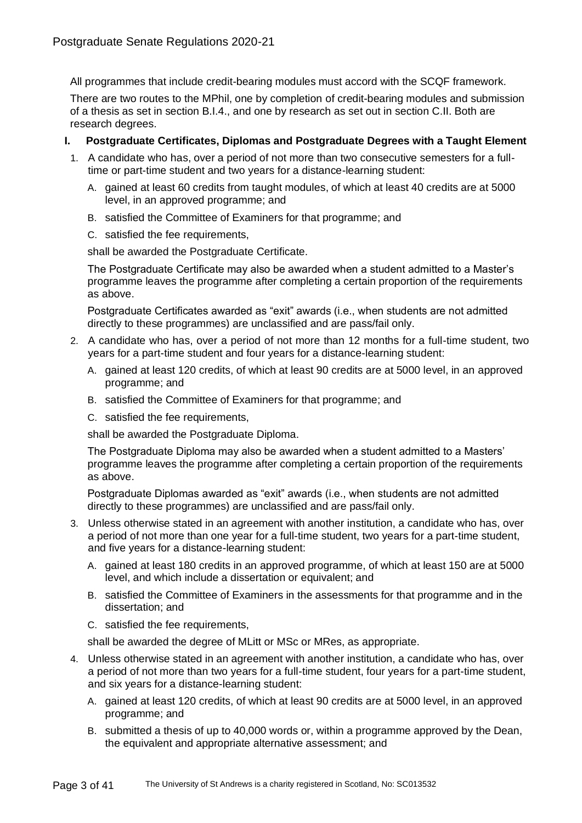All programmes that include credit-bearing modules must accord with the SCQF framework.

There are two routes to the MPhil, one by completion of credit-bearing modules and submission of a thesis as set in section B.I.4., and one by research as set out in section C.II. Both are research degrees.

## **I. Postgraduate Certificates, Diplomas and Postgraduate Degrees with a Taught Element**

- 1. A candidate who has, over a period of not more than two consecutive semesters for a fulltime or part-time student and two years for a distance-learning student:
	- A. gained at least 60 credits from taught modules, of which at least 40 credits are at 5000 level, in an approved programme; and
	- B. satisfied the Committee of Examiners for that programme; and
	- C. satisfied the fee requirements,

shall be awarded the Postgraduate Certificate.

The Postgraduate Certificate may also be awarded when a student admitted to a Master's programme leaves the programme after completing a certain proportion of the requirements as above.

Postgraduate Certificates awarded as "exit" awards (i.e., when students are not admitted directly to these programmes) are unclassified and are pass/fail only.

- 2. A candidate who has, over a period of not more than 12 months for a full-time student, two years for a part-time student and four years for a distance-learning student:
	- A. gained at least 120 credits, of which at least 90 credits are at 5000 level, in an approved programme; and
	- B. satisfied the Committee of Examiners for that programme; and
	- C. satisfied the fee requirements,

shall be awarded the Postgraduate Diploma.

The Postgraduate Diploma may also be awarded when a student admitted to a Masters' programme leaves the programme after completing a certain proportion of the requirements as above.

Postgraduate Diplomas awarded as "exit" awards (i.e., when students are not admitted directly to these programmes) are unclassified and are pass/fail only.

- 3. Unless otherwise stated in an agreement with another institution, a candidate who has, over a period of not more than one year for a full-time student, two years for a part-time student, and five years for a distance-learning student:
	- A. gained at least 180 credits in an approved programme, of which at least 150 are at 5000 level, and which include a dissertation or equivalent; and
	- B. satisfied the Committee of Examiners in the assessments for that programme and in the dissertation; and
	- C. satisfied the fee requirements,

shall be awarded the degree of MLitt or MSc or MRes, as appropriate.

- 4. Unless otherwise stated in an agreement with another institution, a candidate who has, over a period of not more than two years for a full-time student, four years for a part-time student, and six years for a distance-learning student:
	- A. gained at least 120 credits, of which at least 90 credits are at 5000 level, in an approved programme; and
	- B. submitted a thesis of up to 40,000 words or, within a programme approved by the Dean, the equivalent and appropriate alternative assessment; and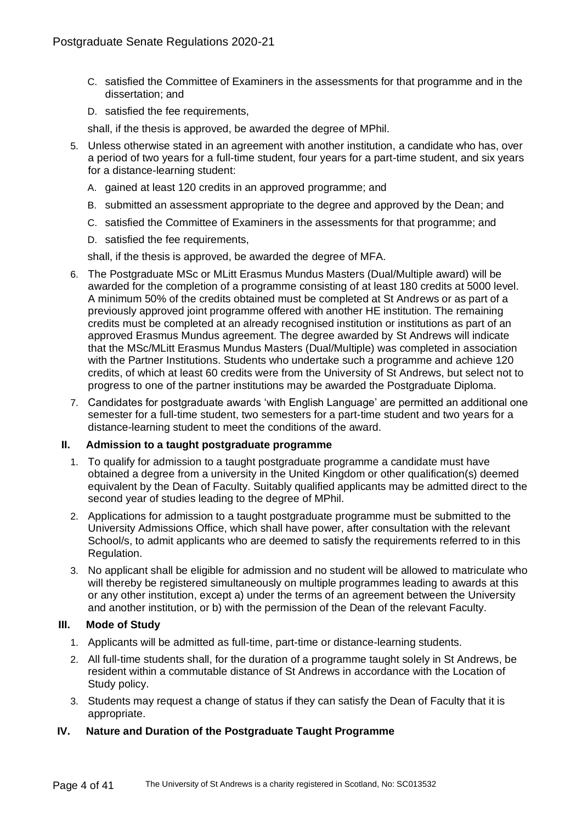- C. satisfied the Committee of Examiners in the assessments for that programme and in the dissertation; and
- D. satisfied the fee requirements,

shall, if the thesis is approved, be awarded the degree of MPhil.

- 5. Unless otherwise stated in an agreement with another institution, a candidate who has, over a period of two years for a full-time student, four years for a part-time student, and six years for a distance-learning student:
	- A. gained at least 120 credits in an approved programme; and
	- B. submitted an assessment appropriate to the degree and approved by the Dean; and
	- C. satisfied the Committee of Examiners in the assessments for that programme; and
	- D. satisfied the fee requirements,

shall, if the thesis is approved, be awarded the degree of MFA.

- 6. The Postgraduate MSc or MLitt Erasmus Mundus Masters (Dual/Multiple award) will be awarded for the completion of a programme consisting of at least 180 credits at 5000 level. A minimum 50% of the credits obtained must be completed at St Andrews or as part of a previously approved joint programme offered with another HE institution. The remaining credits must be completed at an already recognised institution or institutions as part of an approved Erasmus Mundus agreement. The degree awarded by St Andrews will indicate that the MSc/MLitt Erasmus Mundus Masters (Dual/Multiple) was completed in association with the Partner Institutions. Students who undertake such a programme and achieve 120 credits, of which at least 60 credits were from the University of St Andrews, but select not to progress to one of the partner institutions may be awarded the Postgraduate Diploma.
- 7. Candidates for postgraduate awards 'with English Language' are permitted an additional one semester for a full-time student, two semesters for a part-time student and two years for a distance-learning student to meet the conditions of the award.

#### **II. Admission to a taught postgraduate programme**

- 1. To qualify for admission to a taught postgraduate programme a candidate must have obtained a degree from a university in the United Kingdom or other qualification(s) deemed equivalent by the Dean of Faculty. Suitably qualified applicants may be admitted direct to the second year of studies leading to the degree of MPhil.
- 2. Applications for admission to a taught postgraduate programme must be submitted to the University Admissions Office, which shall have power, after consultation with the relevant School/s, to admit applicants who are deemed to satisfy the requirements referred to in this Regulation.
- 3. No applicant shall be eligible for admission and no student will be allowed to matriculate who will thereby be registered simultaneously on multiple programmes leading to awards at this or any other institution, except a) under the terms of an agreement between the University and another institution, or b) with the permission of the Dean of the relevant Faculty.

## **III. Mode of Study**

- 1. Applicants will be admitted as full-time, part-time or distance-learning students.
- 2. All full-time students shall, for the duration of a programme taught solely in St Andrews, be resident within a commutable distance of St Andrews in accordance with the Location of Study policy.
- 3. Students may request a change of status if they can satisfy the Dean of Faculty that it is appropriate.

## **IV. Nature and Duration of the Postgraduate Taught Programme**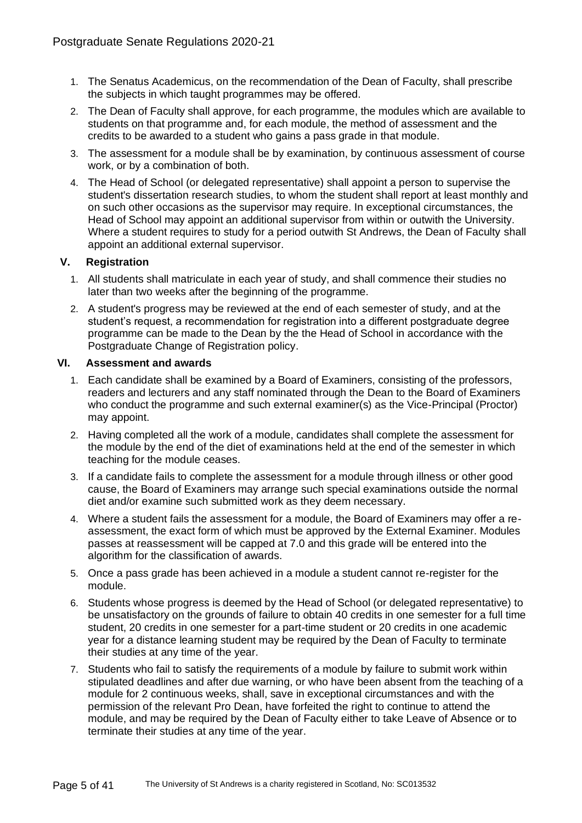- 1. The Senatus Academicus, on the recommendation of the Dean of Faculty, shall prescribe the subjects in which taught programmes may be offered.
- 2. The Dean of Faculty shall approve, for each programme, the modules which are available to students on that programme and, for each module, the method of assessment and the credits to be awarded to a student who gains a pass grade in that module.
- 3. The assessment for a module shall be by examination, by continuous assessment of course work, or by a combination of both.
- 4. The Head of School (or delegated representative) shall appoint a person to supervise the student's dissertation research studies, to whom the student shall report at least monthly and on such other occasions as the supervisor may require. In exceptional circumstances, the Head of School may appoint an additional supervisor from within or outwith the University. Where a student requires to study for a period outwith St Andrews, the Dean of Faculty shall appoint an additional external supervisor.

## **V. Registration**

- 1. All students shall matriculate in each year of study, and shall commence their studies no later than two weeks after the beginning of the programme.
- 2. A student's progress may be reviewed at the end of each semester of study, and at the student's request, a recommendation for registration into a different postgraduate degree programme can be made to the Dean by the the Head of School in accordance with the Postgraduate Change of Registration policy.

## **VI. Assessment and awards**

- 1. Each candidate shall be examined by a Board of Examiners, consisting of the professors, readers and lecturers and any staff nominated through the Dean to the Board of Examiners who conduct the programme and such external examiner(s) as the Vice-Principal (Proctor) may appoint.
- 2. Having completed all the work of a module, candidates shall complete the assessment for the module by the end of the diet of examinations held at the end of the semester in which teaching for the module ceases.
- 3. If a candidate fails to complete the assessment for a module through illness or other good cause, the Board of Examiners may arrange such special examinations outside the normal diet and/or examine such submitted work as they deem necessary.
- 4. Where a student fails the assessment for a module, the Board of Examiners may offer a reassessment, the exact form of which must be approved by the External Examiner. Modules passes at reassessment will be capped at 7.0 and this grade will be entered into the algorithm for the classification of awards.
- 5. Once a pass grade has been achieved in a module a student cannot re-register for the module.
- 6. Students whose progress is deemed by the Head of School (or delegated representative) to be unsatisfactory on the grounds of failure to obtain 40 credits in one semester for a full time student, 20 credits in one semester for a part-time student or 20 credits in one academic year for a distance learning student may be required by the Dean of Faculty to terminate their studies at any time of the year.
- 7. Students who fail to satisfy the requirements of a module by failure to submit work within stipulated deadlines and after due warning, or who have been absent from the teaching of a module for 2 continuous weeks, shall, save in exceptional circumstances and with the permission of the relevant Pro Dean, have forfeited the right to continue to attend the module, and may be required by the Dean of Faculty either to take Leave of Absence or to terminate their studies at any time of the year.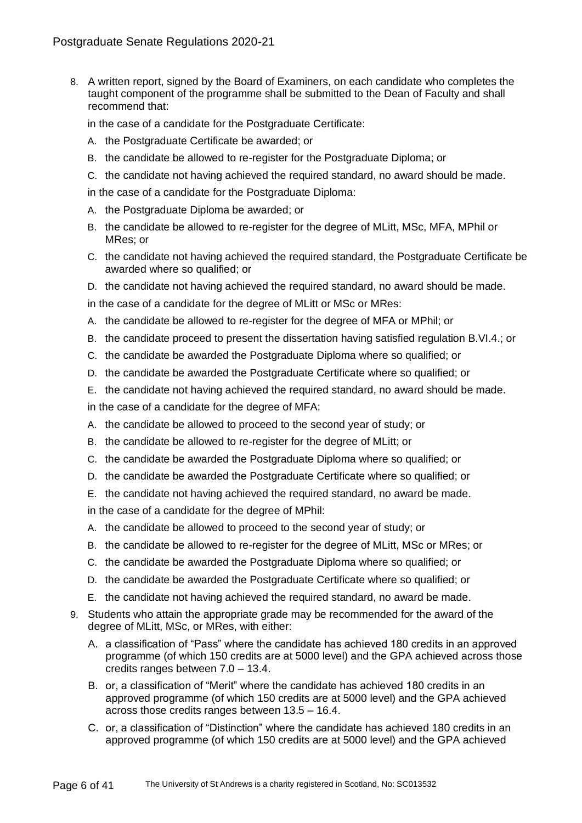8. A written report, signed by the Board of Examiners, on each candidate who completes the taught component of the programme shall be submitted to the Dean of Faculty and shall recommend that:

in the case of a candidate for the Postgraduate Certificate:

- A. the Postgraduate Certificate be awarded; or
- B. the candidate be allowed to re-register for the Postgraduate Diploma; or
- C. the candidate not having achieved the required standard, no award should be made.

in the case of a candidate for the Postgraduate Diploma:

- A. the Postgraduate Diploma be awarded; or
- B. the candidate be allowed to re-register for the degree of MLitt, MSc, MFA, MPhil or MRes; or
- C. the candidate not having achieved the required standard, the Postgraduate Certificate be awarded where so qualified; or
- D. the candidate not having achieved the required standard, no award should be made.

in the case of a candidate for the degree of MLitt or MSc or MRes:

- A. the candidate be allowed to re-register for the degree of MFA or MPhil; or
- B. the candidate proceed to present the dissertation having satisfied regulation B.VI.4.; or
- C. the candidate be awarded the Postgraduate Diploma where so qualified; or
- D. the candidate be awarded the Postgraduate Certificate where so qualified; or
- E. the candidate not having achieved the required standard, no award should be made.
- in the case of a candidate for the degree of MFA:
- A. the candidate be allowed to proceed to the second year of study; or
- B. the candidate be allowed to re-register for the degree of MLitt; or
- C. the candidate be awarded the Postgraduate Diploma where so qualified; or
- D. the candidate be awarded the Postgraduate Certificate where so qualified; or
- E. the candidate not having achieved the required standard, no award be made.

in the case of a candidate for the degree of MPhil:

- A. the candidate be allowed to proceed to the second year of study; or
- B. the candidate be allowed to re-register for the degree of MLitt, MSc or MRes; or
- C. the candidate be awarded the Postgraduate Diploma where so qualified; or
- D. the candidate be awarded the Postgraduate Certificate where so qualified; or
- E. the candidate not having achieved the required standard, no award be made.
- 9. Students who attain the appropriate grade may be recommended for the award of the degree of MLitt, MSc, or MRes, with either:
	- A. a classification of "Pass" where the candidate has achieved 180 credits in an approved programme (of which 150 credits are at 5000 level) and the GPA achieved across those credits ranges between 7.0 – 13.4.
	- B. or, a classification of "Merit" where the candidate has achieved 180 credits in an approved programme (of which 150 credits are at 5000 level) and the GPA achieved across those credits ranges between 13.5 – 16.4.
	- C. or, a classification of "Distinction" where the candidate has achieved 180 credits in an approved programme (of which 150 credits are at 5000 level) and the GPA achieved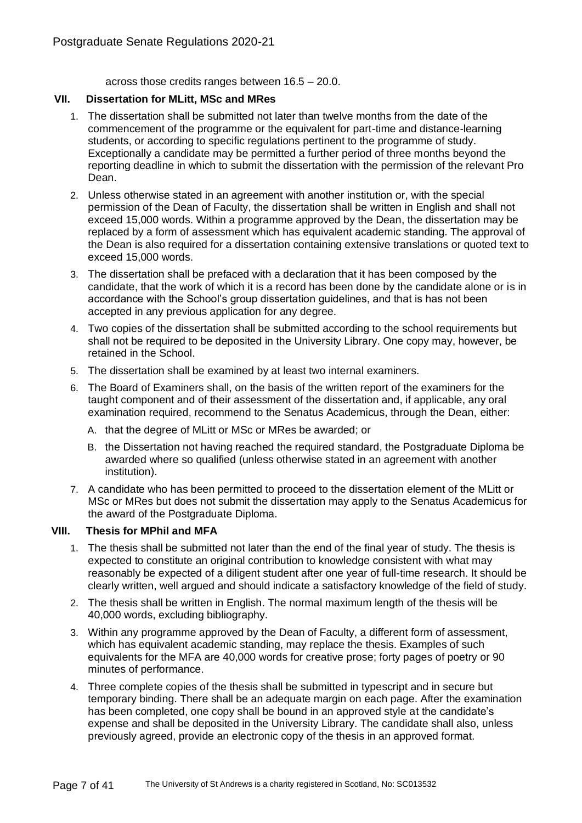across those credits ranges between 16.5 – 20.0.

## **VII. Dissertation for MLitt, MSc and MRes**

- 1. The dissertation shall be submitted not later than twelve months from the date of the commencement of the programme or the equivalent for part-time and distance-learning students, or according to specific regulations pertinent to the programme of study. Exceptionally a candidate may be permitted a further period of three months beyond the reporting deadline in which to submit the dissertation with the permission of the relevant Pro Dean.
- 2. Unless otherwise stated in an agreement with another institution or, with the special permission of the Dean of Faculty, the dissertation shall be written in English and shall not exceed 15,000 words. Within a programme approved by the Dean, the dissertation may be replaced by a form of assessment which has equivalent academic standing. The approval of the Dean is also required for a dissertation containing extensive translations or quoted text to exceed 15,000 words.
- 3. The dissertation shall be prefaced with a declaration that it has been composed by the candidate, that the work of which it is a record has been done by the candidate alone or is in accordance with the School's group dissertation guidelines, and that is has not been accepted in any previous application for any degree.
- 4. Two copies of the dissertation shall be submitted according to the school requirements but shall not be required to be deposited in the University Library. One copy may, however, be retained in the School.
- 5. The dissertation shall be examined by at least two internal examiners.
- 6. The Board of Examiners shall, on the basis of the written report of the examiners for the taught component and of their assessment of the dissertation and, if applicable, any oral examination required, recommend to the Senatus Academicus, through the Dean, either:
	- A. that the degree of MLitt or MSc or MRes be awarded; or
	- B. the Dissertation not having reached the required standard, the Postgraduate Diploma be awarded where so qualified (unless otherwise stated in an agreement with another institution).
- 7. A candidate who has been permitted to proceed to the dissertation element of the MLitt or MSc or MRes but does not submit the dissertation may apply to the Senatus Academicus for the award of the Postgraduate Diploma.

# **VIII. Thesis for MPhil and MFA**

- 1. The thesis shall be submitted not later than the end of the final year of study. The thesis is expected to constitute an original contribution to knowledge consistent with what may reasonably be expected of a diligent student after one year of full-time research. It should be clearly written, well argued and should indicate a satisfactory knowledge of the field of study.
- 2. The thesis shall be written in English. The normal maximum length of the thesis will be 40,000 words, excluding bibliography.
- 3. Within any programme approved by the Dean of Faculty, a different form of assessment, which has equivalent academic standing, may replace the thesis. Examples of such equivalents for the MFA are 40,000 words for creative prose; forty pages of poetry or 90 minutes of performance.
- 4. Three complete copies of the thesis shall be submitted in typescript and in secure but temporary binding. There shall be an adequate margin on each page. After the examination has been completed, one copy shall be bound in an approved style at the candidate's expense and shall be deposited in the University Library. The candidate shall also, unless previously agreed, provide an electronic copy of the thesis in an approved format.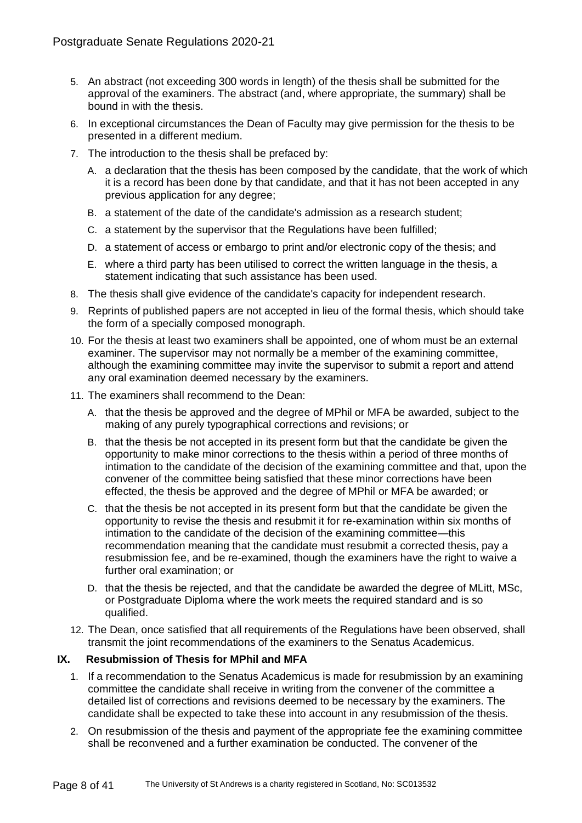- 5. An abstract (not exceeding 300 words in length) of the thesis shall be submitted for the approval of the examiners. The abstract (and, where appropriate, the summary) shall be bound in with the thesis.
- 6. In exceptional circumstances the Dean of Faculty may give permission for the thesis to be presented in a different medium.
- 7. The introduction to the thesis shall be prefaced by:
	- A. a declaration that the thesis has been composed by the candidate, that the work of which it is a record has been done by that candidate, and that it has not been accepted in any previous application for any degree;
	- B. a statement of the date of the candidate's admission as a research student;
	- C. a statement by the supervisor that the Regulations have been fulfilled;
	- D. a statement of access or embargo to print and/or electronic copy of the thesis; and
	- E. where a third party has been utilised to correct the written language in the thesis, a statement indicating that such assistance has been used.
- 8. The thesis shall give evidence of the candidate's capacity for independent research.
- 9. Reprints of published papers are not accepted in lieu of the formal thesis, which should take the form of a specially composed monograph.
- 10. For the thesis at least two examiners shall be appointed, one of whom must be an external examiner. The supervisor may not normally be a member of the examining committee, although the examining committee may invite the supervisor to submit a report and attend any oral examination deemed necessary by the examiners.
- 11. The examiners shall recommend to the Dean:
	- A. that the thesis be approved and the degree of MPhil or MFA be awarded, subject to the making of any purely typographical corrections and revisions; or
	- B. that the thesis be not accepted in its present form but that the candidate be given the opportunity to make minor corrections to the thesis within a period of three months of intimation to the candidate of the decision of the examining committee and that, upon the convener of the committee being satisfied that these minor corrections have been effected, the thesis be approved and the degree of MPhil or MFA be awarded; or
	- C. that the thesis be not accepted in its present form but that the candidate be given the opportunity to revise the thesis and resubmit it for re-examination within six months of intimation to the candidate of the decision of the examining committee—this recommendation meaning that the candidate must resubmit a corrected thesis, pay a resubmission fee, and be re-examined, though the examiners have the right to waive a further oral examination; or
	- D. that the thesis be rejected, and that the candidate be awarded the degree of MLitt, MSc, or Postgraduate Diploma where the work meets the required standard and is so qualified.
- 12. The Dean, once satisfied that all requirements of the Regulations have been observed, shall transmit the joint recommendations of the examiners to the Senatus Academicus.

## **IX. Resubmission of Thesis for MPhil and MFA**

- 1. If a recommendation to the Senatus Academicus is made for resubmission by an examining committee the candidate shall receive in writing from the convener of the committee a detailed list of corrections and revisions deemed to be necessary by the examiners. The candidate shall be expected to take these into account in any resubmission of the thesis.
- 2. On resubmission of the thesis and payment of the appropriate fee the examining committee shall be reconvened and a further examination be conducted. The convener of the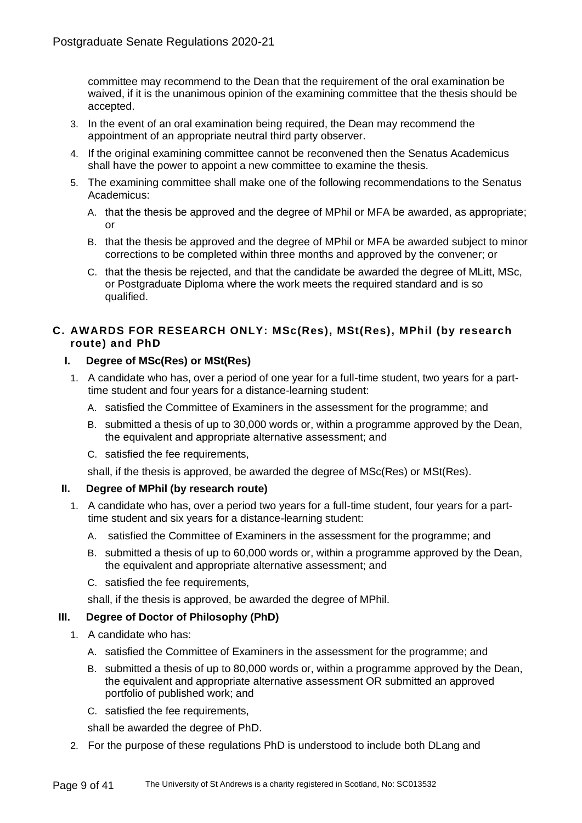committee may recommend to the Dean that the requirement of the oral examination be waived, if it is the unanimous opinion of the examining committee that the thesis should be accepted.

- 3. In the event of an oral examination being required, the Dean may recommend the appointment of an appropriate neutral third party observer.
- 4. If the original examining committee cannot be reconvened then the Senatus Academicus shall have the power to appoint a new committee to examine the thesis.
- 5. The examining committee shall make one of the following recommendations to the Senatus Academicus:
	- A. that the thesis be approved and the degree of MPhil or MFA be awarded, as appropriate; or
	- B. that the thesis be approved and the degree of MPhil or MFA be awarded subject to minor corrections to be completed within three months and approved by the convener; or
	- C. that the thesis be rejected, and that the candidate be awarded the degree of MLitt, MSc, or Postgraduate Diploma where the work meets the required standard and is so qualified.

# **C. AWARDS FOR RESEARCH ONLY: MSc(Res), MSt(Res), MPhil (by research route) and PhD**

## **I. Degree of MSc(Res) or MSt(Res)**

- 1. A candidate who has, over a period of one year for a full-time student, two years for a parttime student and four years for a distance-learning student:
	- A. satisfied the Committee of Examiners in the assessment for the programme; and
	- B. submitted a thesis of up to 30,000 words or, within a programme approved by the Dean, the equivalent and appropriate alternative assessment; and
	- C. satisfied the fee requirements,

shall, if the thesis is approved, be awarded the degree of MSc(Res) or MSt(Res).

## **II. Degree of MPhil (by research route)**

- 1. A candidate who has, over a period two years for a full-time student, four years for a parttime student and six years for a distance-learning student:
	- A. satisfied the Committee of Examiners in the assessment for the programme; and
	- B. submitted a thesis of up to 60,000 words or, within a programme approved by the Dean, the equivalent and appropriate alternative assessment; and
	- C. satisfied the fee requirements,

shall, if the thesis is approved, be awarded the degree of MPhil.

## **III. Degree of Doctor of Philosophy (PhD)**

- 1. A candidate who has:
	- A. satisfied the Committee of Examiners in the assessment for the programme; and
	- B. submitted a thesis of up to 80,000 words or, within a programme approved by the Dean, the equivalent and appropriate alternative assessment OR submitted an approved portfolio of published work; and
	- C. satisfied the fee requirements,

shall be awarded the degree of PhD.

2. For the purpose of these regulations PhD is understood to include both DLang and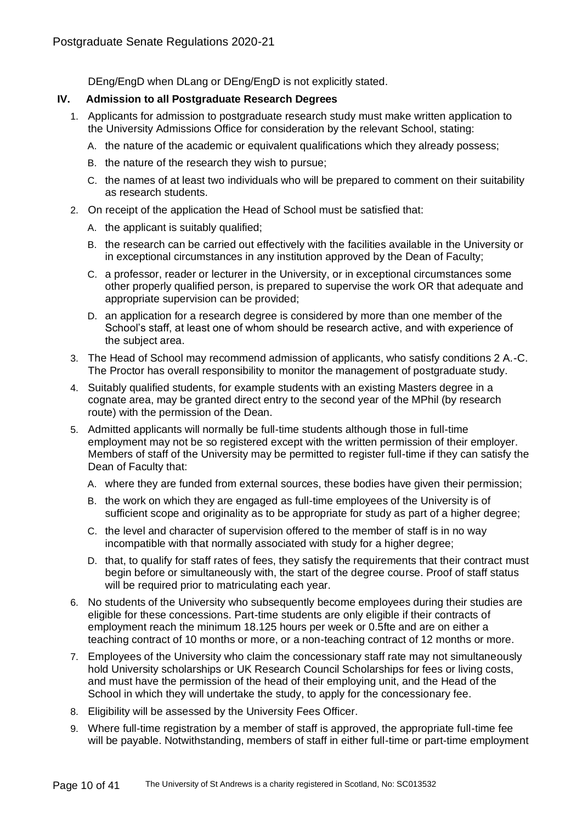DEng/EngD when DLang or DEng/EngD is not explicitly stated.

## **IV. Admission to all Postgraduate Research Degrees**

- 1. Applicants for admission to postgraduate research study must make written application to the University Admissions Office for consideration by the relevant School, stating:
	- A. the nature of the academic or equivalent qualifications which they already possess;
	- B. the nature of the research they wish to pursue;
	- C. the names of at least two individuals who will be prepared to comment on their suitability as research students.
- 2. On receipt of the application the Head of School must be satisfied that:
	- A. the applicant is suitably qualified;
	- B. the research can be carried out effectively with the facilities available in the University or in exceptional circumstances in any institution approved by the Dean of Faculty;
	- C. a professor, reader or lecturer in the University, or in exceptional circumstances some other properly qualified person, is prepared to supervise the work OR that adequate and appropriate supervision can be provided;
	- D. an application for a research degree is considered by more than one member of the School's staff, at least one of whom should be research active, and with experience of the subject area.
- 3. The Head of School may recommend admission of applicants, who satisfy conditions 2 A.-C. The Proctor has overall responsibility to monitor the management of postgraduate study.
- 4. Suitably qualified students, for example students with an existing Masters degree in a cognate area, may be granted direct entry to the second year of the MPhil (by research route) with the permission of the Dean.
- 5. Admitted applicants will normally be full-time students although those in full-time employment may not be so registered except with the written permission of their employer. Members of staff of the University may be permitted to register full-time if they can satisfy the Dean of Faculty that:
	- A. where they are funded from external sources, these bodies have given their permission;
	- B. the work on which they are engaged as full-time employees of the University is of sufficient scope and originality as to be appropriate for study as part of a higher degree;
	- C. the level and character of supervision offered to the member of staff is in no way incompatible with that normally associated with study for a higher degree;
	- D. that, to qualify for staff rates of fees, they satisfy the requirements that their contract must begin before or simultaneously with, the start of the degree course. Proof of staff status will be required prior to matriculating each year.
- 6. No students of the University who subsequently become employees during their studies are eligible for these concessions. Part-time students are only eligible if their contracts of employment reach the minimum 18.125 hours per week or 0.5fte and are on either a teaching contract of 10 months or more, or a non-teaching contract of 12 months or more.
- 7. Employees of the University who claim the concessionary staff rate may not simultaneously hold University scholarships or UK Research Council Scholarships for fees or living costs, and must have the permission of the head of their employing unit, and the Head of the School in which they will undertake the study, to apply for the concessionary fee.
- 8. Eligibility will be assessed by the University Fees Officer.
- 9. Where full-time registration by a member of staff is approved, the appropriate full-time fee will be payable. Notwithstanding, members of staff in either full-time or part-time employment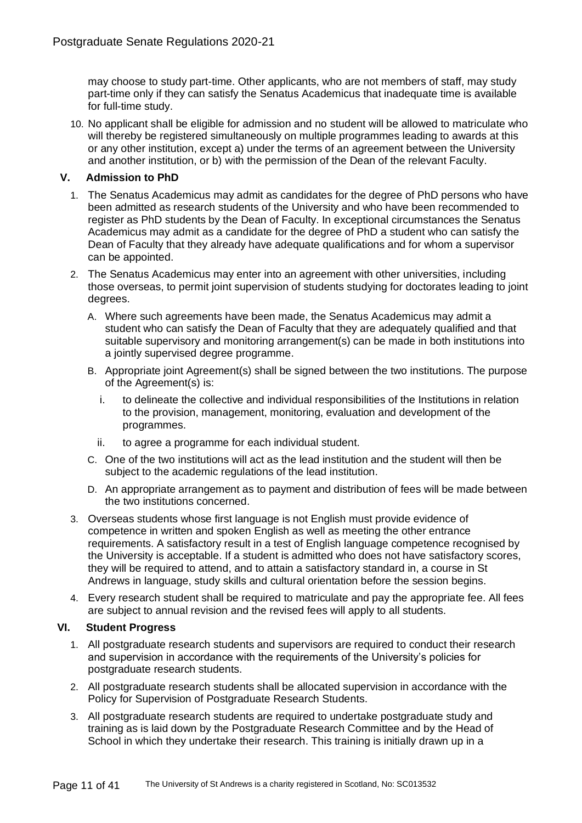may choose to study part-time. Other applicants, who are not members of staff, may study part-time only if they can satisfy the Senatus Academicus that inadequate time is available for full-time study.

10. No applicant shall be eligible for admission and no student will be allowed to matriculate who will thereby be registered simultaneously on multiple programmes leading to awards at this or any other institution, except a) under the terms of an agreement between the University and another institution, or b) with the permission of the Dean of the relevant Faculty.

## **V. Admission to PhD**

- 1. The Senatus Academicus may admit as candidates for the degree of PhD persons who have been admitted as research students of the University and who have been recommended to register as PhD students by the Dean of Faculty. In exceptional circumstances the Senatus Academicus may admit as a candidate for the degree of PhD a student who can satisfy the Dean of Faculty that they already have adequate qualifications and for whom a supervisor can be appointed.
- 2. The Senatus Academicus may enter into an agreement with other universities, including those overseas, to permit joint supervision of students studying for doctorates leading to joint degrees.
	- A. Where such agreements have been made, the Senatus Academicus may admit a student who can satisfy the Dean of Faculty that they are adequately qualified and that suitable supervisory and monitoring arrangement(s) can be made in both institutions into a jointly supervised degree programme.
	- B. Appropriate joint Agreement(s) shall be signed between the two institutions. The purpose of the Agreement(s) is:
		- i. to delineate the collective and individual responsibilities of the Institutions in relation to the provision, management, monitoring, evaluation and development of the programmes.
		- ii. to agree a programme for each individual student.
	- C. One of the two institutions will act as the lead institution and the student will then be subject to the academic regulations of the lead institution.
	- D. An appropriate arrangement as to payment and distribution of fees will be made between the two institutions concerned.
- 3. Overseas students whose first language is not English must provide evidence of competence in written and spoken English as well as meeting the other entrance requirements. A satisfactory result in a test of English language competence recognised by the University is acceptable. If a student is admitted who does not have satisfactory scores, they will be required to attend, and to attain a satisfactory standard in, a course in St Andrews in language, study skills and cultural orientation before the session begins.
- 4. Every research student shall be required to matriculate and pay the appropriate fee. All fees are subject to annual revision and the revised fees will apply to all students.

## **VI. Student Progress**

- 1. All postgraduate research students and supervisors are required to conduct their research and supervision in accordance with the requirements of the University's policies for postgraduate research students.
- 2. All postgraduate research students shall be allocated supervision in accordance with the Policy for Supervision of Postgraduate Research Students.
- 3. All postgraduate research students are required to undertake postgraduate study and training as is laid down by the Postgraduate Research Committee and by the Head of School in which they undertake their research. This training is initially drawn up in a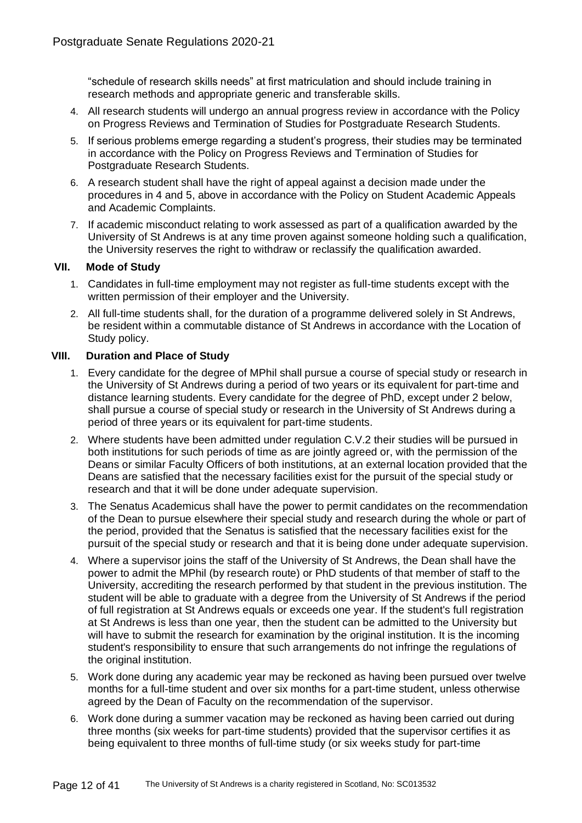"schedule of research skills needs" at first matriculation and should include training in research methods and appropriate generic and transferable skills.

- 4. All research students will undergo an annual progress review in accordance with the Policy on Progress Reviews and Termination of Studies for Postgraduate Research Students.
- 5. If serious problems emerge regarding a student's progress, their studies may be terminated in accordance with the Policy on Progress Reviews and Termination of Studies for Postgraduate Research Students.
- 6. A research student shall have the right of appeal against a decision made under the procedures in 4 and 5, above in accordance with the Policy on Student Academic Appeals and Academic Complaints.
- 7. If academic misconduct relating to work assessed as part of a qualification awarded by the University of St Andrews is at any time proven against someone holding such a qualification, the University reserves the right to withdraw or reclassify the qualification awarded.

## **VII. Mode of Study**

- 1. Candidates in full-time employment may not register as full-time students except with the written permission of their employer and the University.
- 2. All full-time students shall, for the duration of a programme delivered solely in St Andrews, be resident within a commutable distance of St Andrews in accordance with the Location of Study policy.

## **VIII. Duration and Place of Study**

- 1. Every candidate for the degree of MPhil shall pursue a course of special study or research in the University of St Andrews during a period of two years or its equivalent for part-time and distance learning students. Every candidate for the degree of PhD, except under 2 below, shall pursue a course of special study or research in the University of St Andrews during a period of three years or its equivalent for part-time students.
- 2. Where students have been admitted under regulation C.V.2 their studies will be pursued in both institutions for such periods of time as are jointly agreed or, with the permission of the Deans or similar Faculty Officers of both institutions, at an external location provided that the Deans are satisfied that the necessary facilities exist for the pursuit of the special study or research and that it will be done under adequate supervision.
- 3. The Senatus Academicus shall have the power to permit candidates on the recommendation of the Dean to pursue elsewhere their special study and research during the whole or part of the period, provided that the Senatus is satisfied that the necessary facilities exist for the pursuit of the special study or research and that it is being done under adequate supervision.
- 4. Where a supervisor joins the staff of the University of St Andrews, the Dean shall have the power to admit the MPhil (by research route) or PhD students of that member of staff to the University, accrediting the research performed by that student in the previous institution. The student will be able to graduate with a degree from the University of St Andrews if the period of full registration at St Andrews equals or exceeds one year. If the student's full registration at St Andrews is less than one year, then the student can be admitted to the University but will have to submit the research for examination by the original institution. It is the incoming student's responsibility to ensure that such arrangements do not infringe the regulations of the original institution.
- 5. Work done during any academic year may be reckoned as having been pursued over twelve months for a full-time student and over six months for a part-time student, unless otherwise agreed by the Dean of Faculty on the recommendation of the supervisor.
- 6. Work done during a summer vacation may be reckoned as having been carried out during three months (six weeks for part-time students) provided that the supervisor certifies it as being equivalent to three months of full-time study (or six weeks study for part-time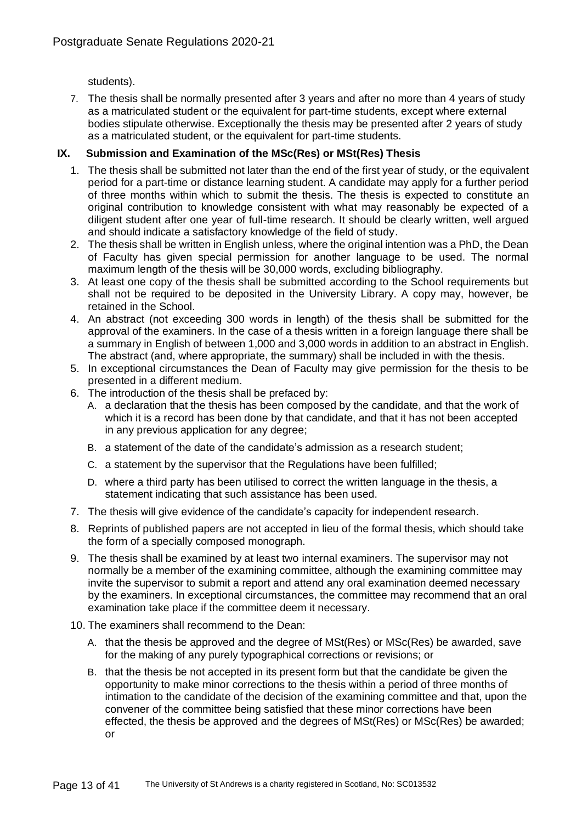students).

7. The thesis shall be normally presented after 3 years and after no more than 4 years of study as a matriculated student or the equivalent for part-time students, except where external bodies stipulate otherwise. Exceptionally the thesis may be presented after 2 years of study as a matriculated student, or the equivalent for part-time students.

# **IX. Submission and Examination of the MSc(Res) or MSt(Res) Thesis**

- 1. The thesis shall be submitted not later than the end of the first year of study, or the equivalent period for a part-time or distance learning student. A candidate may apply for a further period of three months within which to submit the thesis. The thesis is expected to constitute an original contribution to knowledge consistent with what may reasonably be expected of a diligent student after one year of full-time research. It should be clearly written, well argued and should indicate a satisfactory knowledge of the field of study.
- 2. The thesis shall be written in English unless, where the original intention was a PhD, the Dean of Faculty has given special permission for another language to be used. The normal maximum length of the thesis will be 30,000 words, excluding bibliography.
- 3. At least one copy of the thesis shall be submitted according to the School requirements but shall not be required to be deposited in the University Library. A copy may, however, be retained in the School.
- 4. An abstract (not exceeding 300 words in length) of the thesis shall be submitted for the approval of the examiners. In the case of a thesis written in a foreign language there shall be a summary in English of between 1,000 and 3,000 words in addition to an abstract in English. The abstract (and, where appropriate, the summary) shall be included in with the thesis.
- 5. In exceptional circumstances the Dean of Faculty may give permission for the thesis to be presented in a different medium.
- 6. The introduction of the thesis shall be prefaced by:
	- A. a declaration that the thesis has been composed by the candidate, and that the work of which it is a record has been done by that candidate, and that it has not been accepted in any previous application for any degree;
	- B. a statement of the date of the candidate's admission as a research student;
	- C. a statement by the supervisor that the Regulations have been fulfilled;
	- D. where a third party has been utilised to correct the written language in the thesis, a statement indicating that such assistance has been used.
- 7. The thesis will give evidence of the candidate's capacity for independent research.
- 8. Reprints of published papers are not accepted in lieu of the formal thesis, which should take the form of a specially composed monograph.
- 9. The thesis shall be examined by at least two internal examiners. The supervisor may not normally be a member of the examining committee, although the examining committee may invite the supervisor to submit a report and attend any oral examination deemed necessary by the examiners. In exceptional circumstances, the committee may recommend that an oral examination take place if the committee deem it necessary.
- 10. The examiners shall recommend to the Dean:
	- A. that the thesis be approved and the degree of MSt(Res) or MSc(Res) be awarded, save for the making of any purely typographical corrections or revisions; or
	- B. that the thesis be not accepted in its present form but that the candidate be given the opportunity to make minor corrections to the thesis within a period of three months of intimation to the candidate of the decision of the examining committee and that, upon the convener of the committee being satisfied that these minor corrections have been effected, the thesis be approved and the degrees of MSt(Res) or MSc(Res) be awarded; or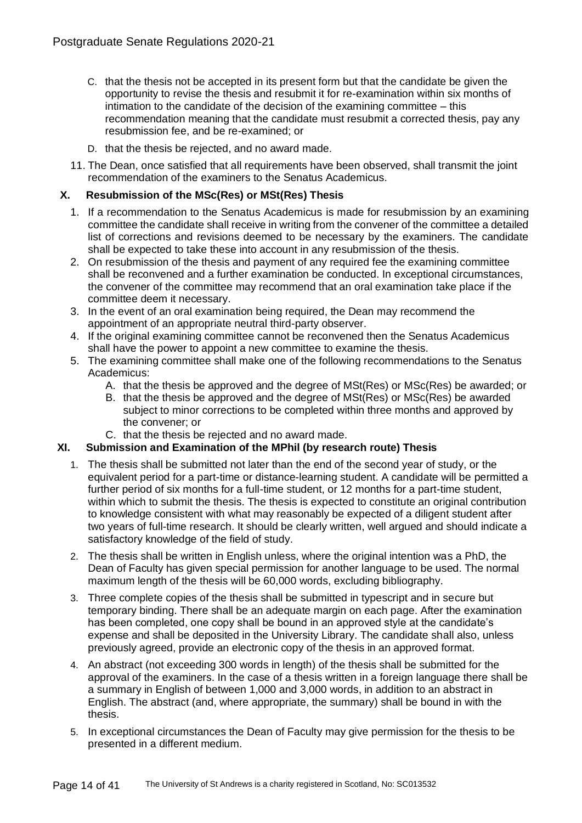- C. that the thesis not be accepted in its present form but that the candidate be given the opportunity to revise the thesis and resubmit it for re-examination within six months of intimation to the candidate of the decision of the examining committee – this recommendation meaning that the candidate must resubmit a corrected thesis, pay any resubmission fee, and be re-examined; or
- D. that the thesis be rejected, and no award made.
- 11. The Dean, once satisfied that all requirements have been observed, shall transmit the joint recommendation of the examiners to the Senatus Academicus.

## **X. Resubmission of the MSc(Res) or MSt(Res) Thesis**

- 1. If a recommendation to the Senatus Academicus is made for resubmission by an examining committee the candidate shall receive in writing from the convener of the committee a detailed list of corrections and revisions deemed to be necessary by the examiners. The candidate shall be expected to take these into account in any resubmission of the thesis.
- 2. On resubmission of the thesis and payment of any required fee the examining committee shall be reconvened and a further examination be conducted. In exceptional circumstances, the convener of the committee may recommend that an oral examination take place if the committee deem it necessary.
- 3. In the event of an oral examination being required, the Dean may recommend the appointment of an appropriate neutral third-party observer.
- 4. If the original examining committee cannot be reconvened then the Senatus Academicus shall have the power to appoint a new committee to examine the thesis.
- 5. The examining committee shall make one of the following recommendations to the Senatus Academicus:
	- A. that the thesis be approved and the degree of MSt(Res) or MSc(Res) be awarded; or
	- B. that the thesis be approved and the degree of MSt(Res) or MSc(Res) be awarded subject to minor corrections to be completed within three months and approved by the convener; or
	- C. that the thesis be rejected and no award made.

# **XI. Submission and Examination of the MPhil (by research route) Thesis**

- 1. The thesis shall be submitted not later than the end of the second year of study, or the equivalent period for a part-time or distance-learning student. A candidate will be permitted a further period of six months for a full-time student, or 12 months for a part-time student, within which to submit the thesis. The thesis is expected to constitute an original contribution to knowledge consistent with what may reasonably be expected of a diligent student after two years of full-time research. It should be clearly written, well argued and should indicate a satisfactory knowledge of the field of study.
- 2. The thesis shall be written in English unless, where the original intention was a PhD, the Dean of Faculty has given special permission for another language to be used. The normal maximum length of the thesis will be 60,000 words, excluding bibliography.
- 3. Three complete copies of the thesis shall be submitted in typescript and in secure but temporary binding. There shall be an adequate margin on each page. After the examination has been completed, one copy shall be bound in an approved style at the candidate's expense and shall be deposited in the University Library. The candidate shall also, unless previously agreed, provide an electronic copy of the thesis in an approved format.
- 4. An abstract (not exceeding 300 words in length) of the thesis shall be submitted for the approval of the examiners. In the case of a thesis written in a foreign language there shall be a summary in English of between 1,000 and 3,000 words, in addition to an abstract in English. The abstract (and, where appropriate, the summary) shall be bound in with the thesis.
- 5. In exceptional circumstances the Dean of Faculty may give permission for the thesis to be presented in a different medium.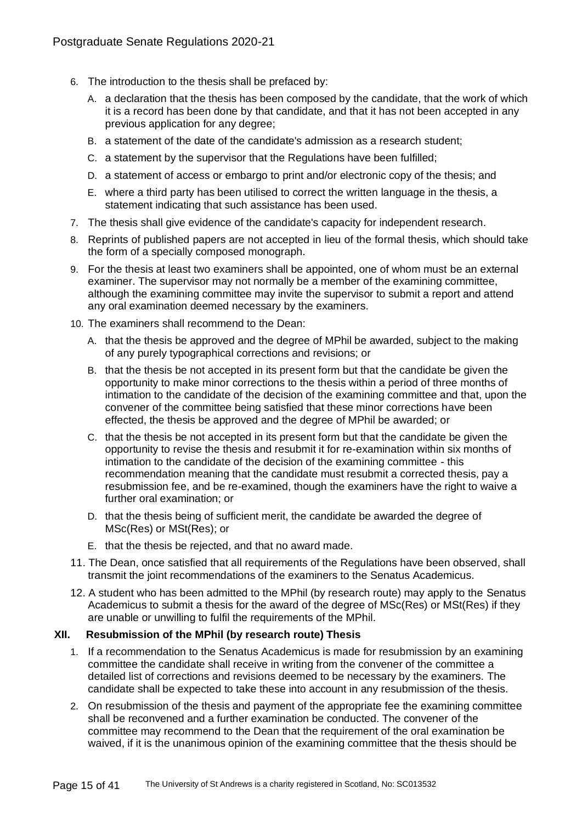- 6. The introduction to the thesis shall be prefaced by:
	- A. a declaration that the thesis has been composed by the candidate, that the work of which it is a record has been done by that candidate, and that it has not been accepted in any previous application for any degree;
	- B. a statement of the date of the candidate's admission as a research student;
	- C. a statement by the supervisor that the Regulations have been fulfilled;
	- D. a statement of access or embargo to print and/or electronic copy of the thesis; and
	- E. where a third party has been utilised to correct the written language in the thesis, a statement indicating that such assistance has been used.
- 7. The thesis shall give evidence of the candidate's capacity for independent research.
- 8. Reprints of published papers are not accepted in lieu of the formal thesis, which should take the form of a specially composed monograph.
- 9. For the thesis at least two examiners shall be appointed, one of whom must be an external examiner. The supervisor may not normally be a member of the examining committee, although the examining committee may invite the supervisor to submit a report and attend any oral examination deemed necessary by the examiners.
- 10. The examiners shall recommend to the Dean:
	- A. that the thesis be approved and the degree of MPhil be awarded, subject to the making of any purely typographical corrections and revisions; or
	- B. that the thesis be not accepted in its present form but that the candidate be given the opportunity to make minor corrections to the thesis within a period of three months of intimation to the candidate of the decision of the examining committee and that, upon the convener of the committee being satisfied that these minor corrections have been effected, the thesis be approved and the degree of MPhil be awarded; or
	- C. that the thesis be not accepted in its present form but that the candidate be given the opportunity to revise the thesis and resubmit it for re-examination within six months of intimation to the candidate of the decision of the examining committee - this recommendation meaning that the candidate must resubmit a corrected thesis, pay a resubmission fee, and be re-examined, though the examiners have the right to waive a further oral examination; or
	- D. that the thesis being of sufficient merit, the candidate be awarded the degree of MSc(Res) or MSt(Res); or
	- E. that the thesis be rejected, and that no award made.
- 11. The Dean, once satisfied that all requirements of the Regulations have been observed, shall transmit the joint recommendations of the examiners to the Senatus Academicus.
- 12. A student who has been admitted to the MPhil (by research route) may apply to the Senatus Academicus to submit a thesis for the award of the degree of MSc(Res) or MSt(Res) if they are unable or unwilling to fulfil the requirements of the MPhil.

## **XII. Resubmission of the MPhil (by research route) Thesis**

- 1. If a recommendation to the Senatus Academicus is made for resubmission by an examining committee the candidate shall receive in writing from the convener of the committee a detailed list of corrections and revisions deemed to be necessary by the examiners. The candidate shall be expected to take these into account in any resubmission of the thesis.
- 2. On resubmission of the thesis and payment of the appropriate fee the examining committee shall be reconvened and a further examination be conducted. The convener of the committee may recommend to the Dean that the requirement of the oral examination be waived, if it is the unanimous opinion of the examining committee that the thesis should be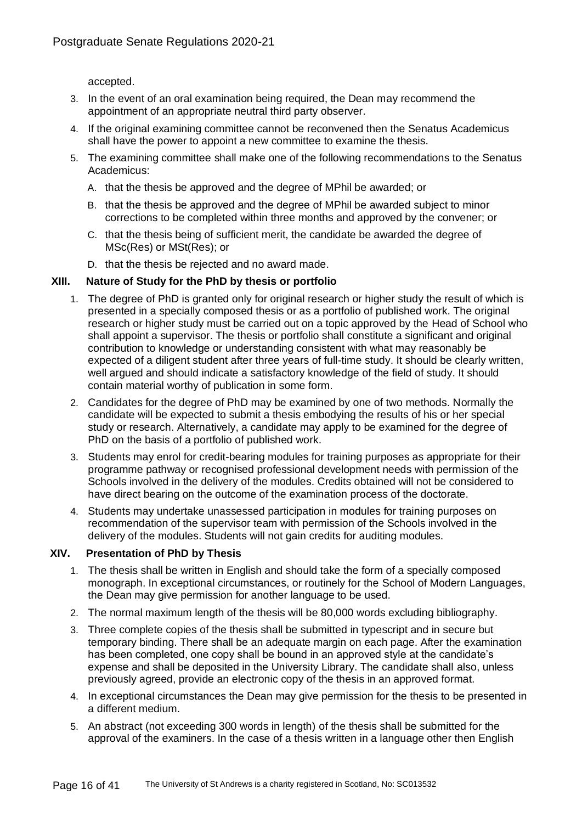accepted.

- 3. In the event of an oral examination being required, the Dean may recommend the appointment of an appropriate neutral third party observer.
- 4. If the original examining committee cannot be reconvened then the Senatus Academicus shall have the power to appoint a new committee to examine the thesis.
- 5. The examining committee shall make one of the following recommendations to the Senatus Academicus:
	- A. that the thesis be approved and the degree of MPhil be awarded; or
	- B. that the thesis be approved and the degree of MPhil be awarded subject to minor corrections to be completed within three months and approved by the convener; or
	- C. that the thesis being of sufficient merit, the candidate be awarded the degree of MSc(Res) or MSt(Res); or
	- D. that the thesis be rejected and no award made.

#### **XIII. Nature of Study for the PhD by thesis or portfolio**

- 1. The degree of PhD is granted only for original research or higher study the result of which is presented in a specially composed thesis or as a portfolio of published work. The original research or higher study must be carried out on a topic approved by the Head of School who shall appoint a supervisor. The thesis or portfolio shall constitute a significant and original contribution to knowledge or understanding consistent with what may reasonably be expected of a diligent student after three years of full-time study. It should be clearly written, well argued and should indicate a satisfactory knowledge of the field of study. It should contain material worthy of publication in some form.
- 2. Candidates for the degree of PhD may be examined by one of two methods. Normally the candidate will be expected to submit a thesis embodying the results of his or her special study or research. Alternatively, a candidate may apply to be examined for the degree of PhD on the basis of a portfolio of published work.
- 3. Students may enrol for credit-bearing modules for training purposes as appropriate for their programme pathway or recognised professional development needs with permission of the Schools involved in the delivery of the modules. Credits obtained will not be considered to have direct bearing on the outcome of the examination process of the doctorate.
- 4. Students may undertake unassessed participation in modules for training purposes on recommendation of the supervisor team with permission of the Schools involved in the delivery of the modules. Students will not gain credits for auditing modules.

## **XIV. Presentation of PhD by Thesis**

- 1. The thesis shall be written in English and should take the form of a specially composed monograph. In exceptional circumstances, or routinely for the School of Modern Languages, the Dean may give permission for another language to be used.
- 2. The normal maximum length of the thesis will be 80,000 words excluding bibliography.
- 3. Three complete copies of the thesis shall be submitted in typescript and in secure but temporary binding. There shall be an adequate margin on each page. After the examination has been completed, one copy shall be bound in an approved style at the candidate's expense and shall be deposited in the University Library. The candidate shall also, unless previously agreed, provide an electronic copy of the thesis in an approved format.
- 4. In exceptional circumstances the Dean may give permission for the thesis to be presented in a different medium.
- 5. An abstract (not exceeding 300 words in length) of the thesis shall be submitted for the approval of the examiners. In the case of a thesis written in a language other then English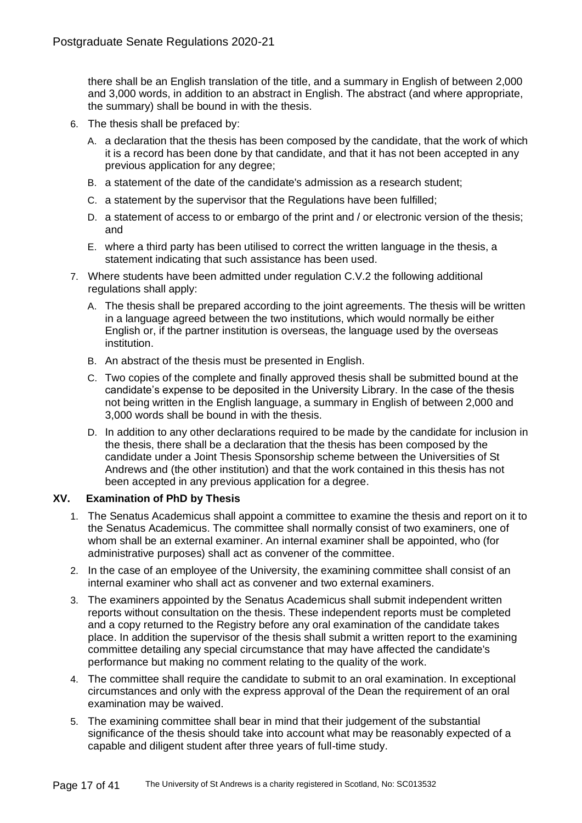there shall be an English translation of the title, and a summary in English of between 2,000 and 3,000 words, in addition to an abstract in English. The abstract (and where appropriate, the summary) shall be bound in with the thesis.

- 6. The thesis shall be prefaced by:
	- A. a declaration that the thesis has been composed by the candidate, that the work of which it is a record has been done by that candidate, and that it has not been accepted in any previous application for any degree;
	- B. a statement of the date of the candidate's admission as a research student;
	- C. a statement by the supervisor that the Regulations have been fulfilled;
	- D. a statement of access to or embargo of the print and / or electronic version of the thesis; and
	- E. where a third party has been utilised to correct the written language in the thesis, a statement indicating that such assistance has been used.
- 7. Where students have been admitted under regulation C.V.2 the following additional regulations shall apply:
	- A. The thesis shall be prepared according to the joint agreements. The thesis will be written in a language agreed between the two institutions, which would normally be either English or, if the partner institution is overseas, the language used by the overseas institution.
	- B. An abstract of the thesis must be presented in English.
	- C. Two copies of the complete and finally approved thesis shall be submitted bound at the candidate's expense to be deposited in the University Library. In the case of the thesis not being written in the English language, a summary in English of between 2,000 and 3,000 words shall be bound in with the thesis.
	- D. In addition to any other declarations required to be made by the candidate for inclusion in the thesis, there shall be a declaration that the thesis has been composed by the candidate under a Joint Thesis Sponsorship scheme between the Universities of St Andrews and (the other institution) and that the work contained in this thesis has not been accepted in any previous application for a degree.

## **XV. Examination of PhD by Thesis**

- 1. The Senatus Academicus shall appoint a committee to examine the thesis and report on it to the Senatus Academicus. The committee shall normally consist of two examiners, one of whom shall be an external examiner. An internal examiner shall be appointed, who (for administrative purposes) shall act as convener of the committee.
- 2. In the case of an employee of the University, the examining committee shall consist of an internal examiner who shall act as convener and two external examiners.
- 3. The examiners appointed by the Senatus Academicus shall submit independent written reports without consultation on the thesis. These independent reports must be completed and a copy returned to the Registry before any oral examination of the candidate takes place. In addition the supervisor of the thesis shall submit a written report to the examining committee detailing any special circumstance that may have affected the candidate's performance but making no comment relating to the quality of the work.
- 4. The committee shall require the candidate to submit to an oral examination. In exceptional circumstances and only with the express approval of the Dean the requirement of an oral examination may be waived.
- 5. The examining committee shall bear in mind that their judgement of the substantial significance of the thesis should take into account what may be reasonably expected of a capable and diligent student after three years of full-time study.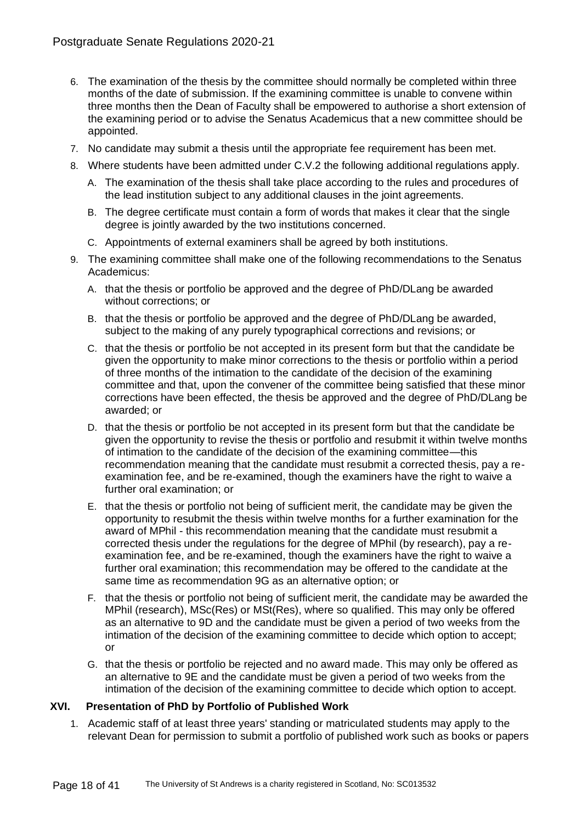- 6. The examination of the thesis by the committee should normally be completed within three months of the date of submission. If the examining committee is unable to convene within three months then the Dean of Faculty shall be empowered to authorise a short extension of the examining period or to advise the Senatus Academicus that a new committee should be appointed.
- 7. No candidate may submit a thesis until the appropriate fee requirement has been met.
- 8. Where students have been admitted under C.V.2 the following additional regulations apply.
	- A. The examination of the thesis shall take place according to the rules and procedures of the lead institution subject to any additional clauses in the joint agreements.
	- B. The degree certificate must contain a form of words that makes it clear that the single degree is jointly awarded by the two institutions concerned.
	- C. Appointments of external examiners shall be agreed by both institutions.
- 9. The examining committee shall make one of the following recommendations to the Senatus Academicus:
	- A. that the thesis or portfolio be approved and the degree of PhD/DLang be awarded without corrections; or
	- B. that the thesis or portfolio be approved and the degree of PhD/DLang be awarded, subject to the making of any purely typographical corrections and revisions; or
	- C. that the thesis or portfolio be not accepted in its present form but that the candidate be given the opportunity to make minor corrections to the thesis or portfolio within a period of three months of the intimation to the candidate of the decision of the examining committee and that, upon the convener of the committee being satisfied that these minor corrections have been effected, the thesis be approved and the degree of PhD/DLang be awarded; or
	- D. that the thesis or portfolio be not accepted in its present form but that the candidate be given the opportunity to revise the thesis or portfolio and resubmit it within twelve months of intimation to the candidate of the decision of the examining committee—this recommendation meaning that the candidate must resubmit a corrected thesis, pay a reexamination fee, and be re-examined, though the examiners have the right to waive a further oral examination; or
	- E. that the thesis or portfolio not being of sufficient merit, the candidate may be given the opportunity to resubmit the thesis within twelve months for a further examination for the award of MPhil - this recommendation meaning that the candidate must resubmit a corrected thesis under the regulations for the degree of MPhil (by research), pay a reexamination fee, and be re-examined, though the examiners have the right to waive a further oral examination; this recommendation may be offered to the candidate at the same time as recommendation 9G as an alternative option; or
	- F. that the thesis or portfolio not being of sufficient merit, the candidate may be awarded the MPhil (research), MSc(Res) or MSt(Res), where so qualified. This may only be offered as an alternative to 9D and the candidate must be given a period of two weeks from the intimation of the decision of the examining committee to decide which option to accept; or
	- G. that the thesis or portfolio be rejected and no award made. This may only be offered as an alternative to 9E and the candidate must be given a period of two weeks from the intimation of the decision of the examining committee to decide which option to accept.

## **XVI. Presentation of PhD by Portfolio of Published Work**

1. Academic staff of at least three years' standing or matriculated students may apply to the relevant Dean for permission to submit a portfolio of published work such as books or papers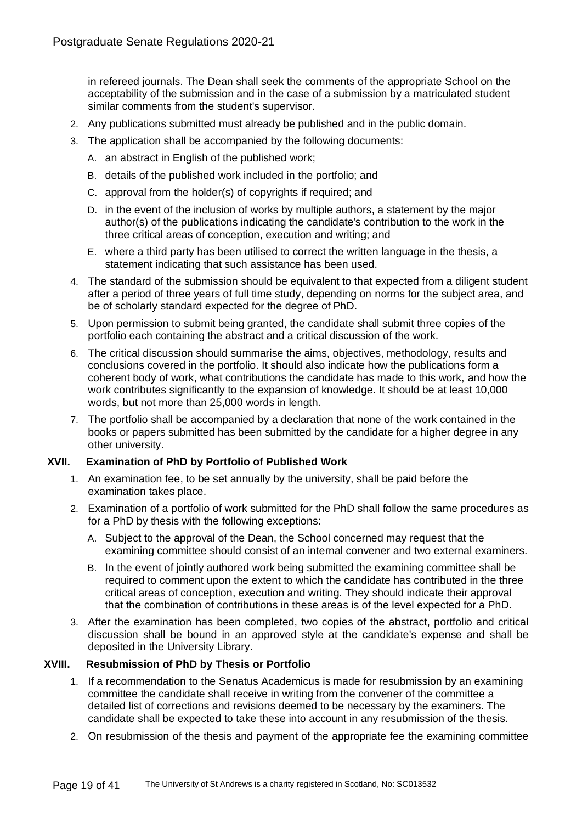in refereed journals. The Dean shall seek the comments of the appropriate School on the acceptability of the submission and in the case of a submission by a matriculated student similar comments from the student's supervisor.

- 2. Any publications submitted must already be published and in the public domain.
- 3. The application shall be accompanied by the following documents:
	- A. an abstract in English of the published work;
	- B. details of the published work included in the portfolio; and
	- C. approval from the holder(s) of copyrights if required; and
	- D. in the event of the inclusion of works by multiple authors, a statement by the major author(s) of the publications indicating the candidate's contribution to the work in the three critical areas of conception, execution and writing; and
	- E. where a third party has been utilised to correct the written language in the thesis, a statement indicating that such assistance has been used.
- 4. The standard of the submission should be equivalent to that expected from a diligent student after a period of three years of full time study, depending on norms for the subject area, and be of scholarly standard expected for the degree of PhD.
- 5. Upon permission to submit being granted, the candidate shall submit three copies of the portfolio each containing the abstract and a critical discussion of the work.
- 6. The critical discussion should summarise the aims, objectives, methodology, results and conclusions covered in the portfolio. It should also indicate how the publications form a coherent body of work, what contributions the candidate has made to this work, and how the work contributes significantly to the expansion of knowledge. It should be at least 10,000 words, but not more than 25,000 words in length.
- 7. The portfolio shall be accompanied by a declaration that none of the work contained in the books or papers submitted has been submitted by the candidate for a higher degree in any other university.

## **XVII. Examination of PhD by Portfolio of Published Work**

- 1. An examination fee, to be set annually by the university, shall be paid before the examination takes place.
- 2. Examination of a portfolio of work submitted for the PhD shall follow the same procedures as for a PhD by thesis with the following exceptions:
	- A. Subject to the approval of the Dean, the School concerned may request that the examining committee should consist of an internal convener and two external examiners.
	- B. In the event of jointly authored work being submitted the examining committee shall be required to comment upon the extent to which the candidate has contributed in the three critical areas of conception, execution and writing. They should indicate their approval that the combination of contributions in these areas is of the level expected for a PhD.
- 3. After the examination has been completed, two copies of the abstract, portfolio and critical discussion shall be bound in an approved style at the candidate's expense and shall be deposited in the University Library.

# **XVIII. Resubmission of PhD by Thesis or Portfolio**

- 1. If a recommendation to the Senatus Academicus is made for resubmission by an examining committee the candidate shall receive in writing from the convener of the committee a detailed list of corrections and revisions deemed to be necessary by the examiners. The candidate shall be expected to take these into account in any resubmission of the thesis.
- 2. On resubmission of the thesis and payment of the appropriate fee the examining committee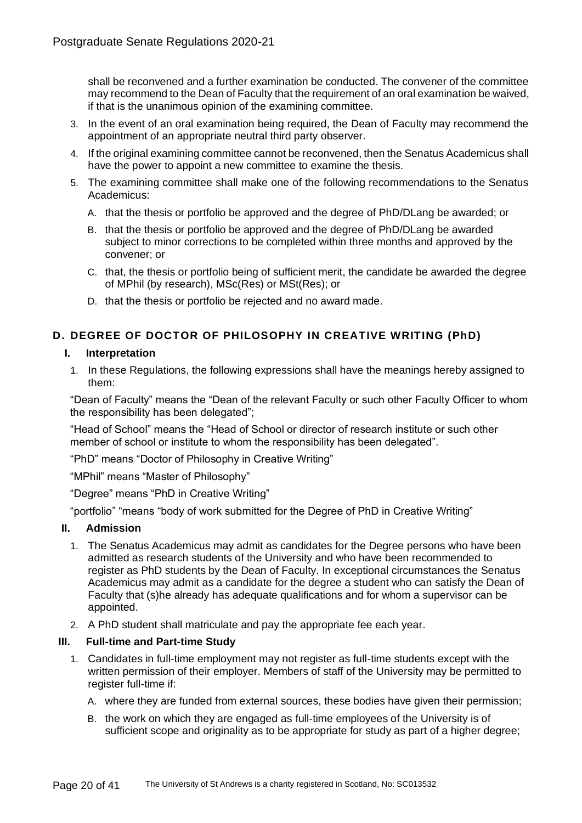shall be reconvened and a further examination be conducted. The convener of the committee may recommend to the Dean of Faculty that the requirement of an oral examination be waived, if that is the unanimous opinion of the examining committee.

- 3. In the event of an oral examination being required, the Dean of Faculty may recommend the appointment of an appropriate neutral third party observer.
- 4. If the original examining committee cannot be reconvened, then the Senatus Academicus shall have the power to appoint a new committee to examine the thesis.
- 5. The examining committee shall make one of the following recommendations to the Senatus Academicus:
	- A. that the thesis or portfolio be approved and the degree of PhD/DLang be awarded; or
	- B. that the thesis or portfolio be approved and the degree of PhD/DLang be awarded subject to minor corrections to be completed within three months and approved by the convener; or
	- C. that, the thesis or portfolio being of sufficient merit, the candidate be awarded the degree of MPhil (by research), MSc(Res) or MSt(Res); or
	- D. that the thesis or portfolio be rejected and no award made.

# **D. DEGREE OF DOCTOR OF PHILOSOPHY IN CREATIVE WRITING (PhD)**

## **I. Interpretation**

1. In these Regulations, the following expressions shall have the meanings hereby assigned to them:

"Dean of Faculty" means the "Dean of the relevant Faculty or such other Faculty Officer to whom the responsibility has been delegated";

"Head of School" means the "Head of School or director of research institute or such other member of school or institute to whom the responsibility has been delegated".

"PhD" means "Doctor of Philosophy in Creative Writing"

"MPhil" means "Master of Philosophy"

"Degree" means "PhD in Creative Writing"

"portfolio" "means "body of work submitted for the Degree of PhD in Creative Writing"

## **II. Admission**

- 1. The Senatus Academicus may admit as candidates for the Degree persons who have been admitted as research students of the University and who have been recommended to register as PhD students by the Dean of Faculty. In exceptional circumstances the Senatus Academicus may admit as a candidate for the degree a student who can satisfy the Dean of Faculty that (s)he already has adequate qualifications and for whom a supervisor can be appointed.
- 2. A PhD student shall matriculate and pay the appropriate fee each year.

## **III. Full-time and Part-time Study**

- 1. Candidates in full-time employment may not register as full-time students except with the written permission of their employer. Members of staff of the University may be permitted to register full-time if:
	- A. where they are funded from external sources, these bodies have given their permission;
	- B. the work on which they are engaged as full-time employees of the University is of sufficient scope and originality as to be appropriate for study as part of a higher degree;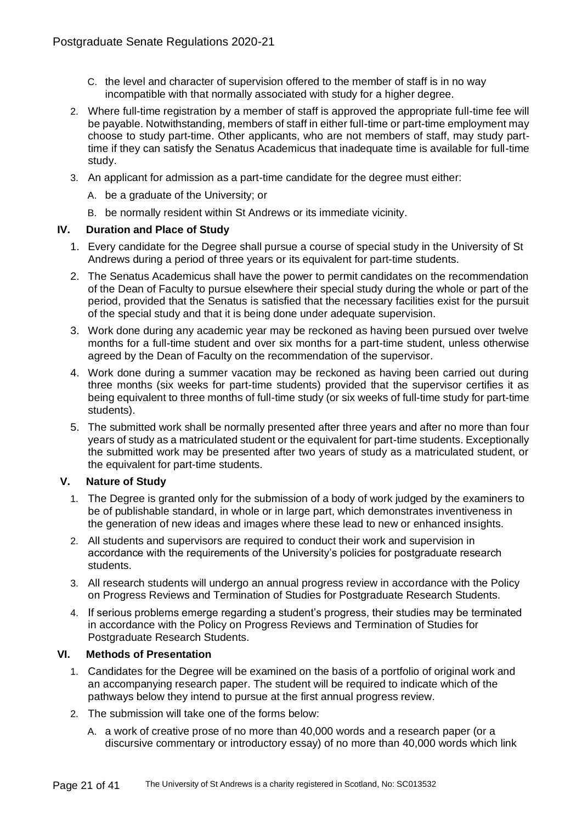- C. the level and character of supervision offered to the member of staff is in no way incompatible with that normally associated with study for a higher degree.
- 2. Where full-time registration by a member of staff is approved the appropriate full-time fee will be payable. Notwithstanding, members of staff in either full-time or part-time employment may choose to study part-time. Other applicants, who are not members of staff, may study parttime if they can satisfy the Senatus Academicus that inadequate time is available for full-time study.
- 3. An applicant for admission as a part-time candidate for the degree must either:
	- A. be a graduate of the University; or
	- B. be normally resident within St Andrews or its immediate vicinity.

## **IV. Duration and Place of Study**

- 1. Every candidate for the Degree shall pursue a course of special study in the University of St Andrews during a period of three years or its equivalent for part-time students.
- 2. The Senatus Academicus shall have the power to permit candidates on the recommendation of the Dean of Faculty to pursue elsewhere their special study during the whole or part of the period, provided that the Senatus is satisfied that the necessary facilities exist for the pursuit of the special study and that it is being done under adequate supervision.
- 3. Work done during any academic year may be reckoned as having been pursued over twelve months for a full-time student and over six months for a part-time student, unless otherwise agreed by the Dean of Faculty on the recommendation of the supervisor.
- 4. Work done during a summer vacation may be reckoned as having been carried out during three months (six weeks for part-time students) provided that the supervisor certifies it as being equivalent to three months of full-time study (or six weeks of full-time study for part-time students).
- 5. The submitted work shall be normally presented after three years and after no more than four years of study as a matriculated student or the equivalent for part-time students. Exceptionally the submitted work may be presented after two years of study as a matriculated student, or the equivalent for part-time students.

## **V. Nature of Study**

- 1. The Degree is granted only for the submission of a body of work judged by the examiners to be of publishable standard, in whole or in large part, which demonstrates inventiveness in the generation of new ideas and images where these lead to new or enhanced insights.
- 2. All students and supervisors are required to conduct their work and supervision in accordance with the requirements of the University's policies for postgraduate research students.
- 3. All research students will undergo an annual progress review in accordance with the Policy on Progress Reviews and Termination of Studies for Postgraduate Research Students.
- 4. If serious problems emerge regarding a student's progress, their studies may be terminated in accordance with the Policy on Progress Reviews and Termination of Studies for Postgraduate Research Students.

## **VI. Methods of Presentation**

- 1. Candidates for the Degree will be examined on the basis of a portfolio of original work and an accompanying research paper. The student will be required to indicate which of the pathways below they intend to pursue at the first annual progress review.
- 2. The submission will take one of the forms below:
	- A. a work of creative prose of no more than 40,000 words and a research paper (or a discursive commentary or introductory essay) of no more than 40,000 words which link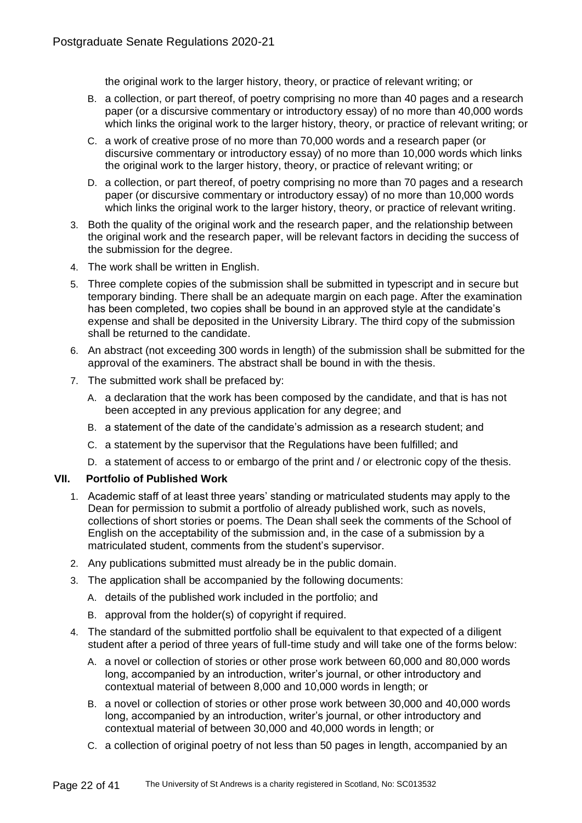the original work to the larger history, theory, or practice of relevant writing; or

- B. a collection, or part thereof, of poetry comprising no more than 40 pages and a research paper (or a discursive commentary or introductory essay) of no more than 40,000 words which links the original work to the larger history, theory, or practice of relevant writing; or
- C. a work of creative prose of no more than 70,000 words and a research paper (or discursive commentary or introductory essay) of no more than 10,000 words which links the original work to the larger history, theory, or practice of relevant writing; or
- D. a collection, or part thereof, of poetry comprising no more than 70 pages and a research paper (or discursive commentary or introductory essay) of no more than 10,000 words which links the original work to the larger history, theory, or practice of relevant writing.
- 3. Both the quality of the original work and the research paper, and the relationship between the original work and the research paper, will be relevant factors in deciding the success of the submission for the degree.
- 4. The work shall be written in English.
- 5. Three complete copies of the submission shall be submitted in typescript and in secure but temporary binding. There shall be an adequate margin on each page. After the examination has been completed, two copies shall be bound in an approved style at the candidate's expense and shall be deposited in the University Library. The third copy of the submission shall be returned to the candidate.
- 6. An abstract (not exceeding 300 words in length) of the submission shall be submitted for the approval of the examiners. The abstract shall be bound in with the thesis.
- 7. The submitted work shall be prefaced by:
	- A. a declaration that the work has been composed by the candidate, and that is has not been accepted in any previous application for any degree; and
	- B. a statement of the date of the candidate's admission as a research student; and
	- C. a statement by the supervisor that the Regulations have been fulfilled; and
	- D. a statement of access to or embargo of the print and / or electronic copy of the thesis.

# **VII. Portfolio of Published Work**

- 1. Academic staff of at least three years' standing or matriculated students may apply to the Dean for permission to submit a portfolio of already published work, such as novels, collections of short stories or poems. The Dean shall seek the comments of the School of English on the acceptability of the submission and, in the case of a submission by a matriculated student, comments from the student's supervisor.
- 2. Any publications submitted must already be in the public domain.
- 3. The application shall be accompanied by the following documents:
	- A. details of the published work included in the portfolio; and
	- B. approval from the holder(s) of copyright if required.
- 4. The standard of the submitted portfolio shall be equivalent to that expected of a diligent student after a period of three years of full-time study and will take one of the forms below:
	- A. a novel or collection of stories or other prose work between 60,000 and 80,000 words long, accompanied by an introduction, writer's journal, or other introductory and contextual material of between 8,000 and 10,000 words in length; or
	- B. a novel or collection of stories or other prose work between 30,000 and 40,000 words long, accompanied by an introduction, writer's journal, or other introductory and contextual material of between 30,000 and 40,000 words in length; or
	- C. a collection of original poetry of not less than 50 pages in length, accompanied by an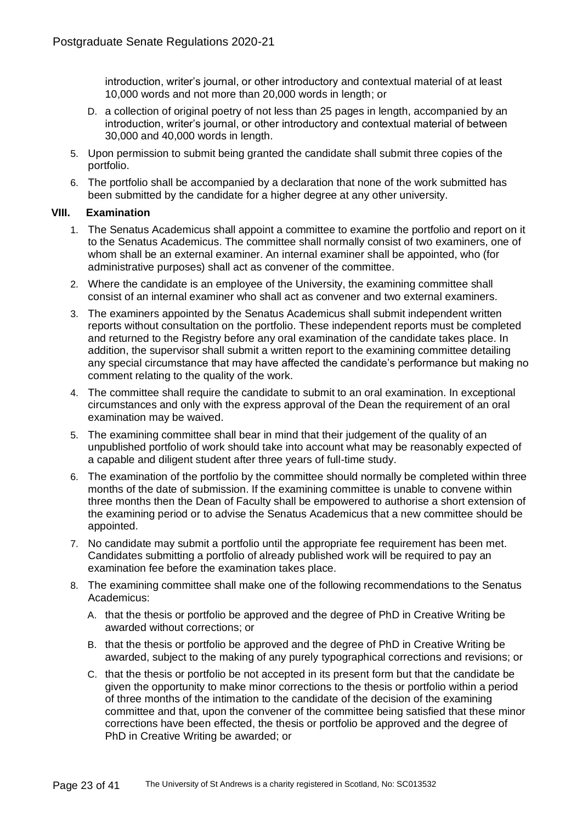introduction, writer's journal, or other introductory and contextual material of at least 10,000 words and not more than 20,000 words in length; or

- D. a collection of original poetry of not less than 25 pages in length, accompanied by an introduction, writer's journal, or other introductory and contextual material of between 30,000 and 40,000 words in length.
- 5. Upon permission to submit being granted the candidate shall submit three copies of the portfolio.
- 6. The portfolio shall be accompanied by a declaration that none of the work submitted has been submitted by the candidate for a higher degree at any other university.

## **VIII. Examination**

- 1. The Senatus Academicus shall appoint a committee to examine the portfolio and report on it to the Senatus Academicus. The committee shall normally consist of two examiners, one of whom shall be an external examiner. An internal examiner shall be appointed, who (for administrative purposes) shall act as convener of the committee.
- 2. Where the candidate is an employee of the University, the examining committee shall consist of an internal examiner who shall act as convener and two external examiners.
- 3. The examiners appointed by the Senatus Academicus shall submit independent written reports without consultation on the portfolio. These independent reports must be completed and returned to the Registry before any oral examination of the candidate takes place. In addition, the supervisor shall submit a written report to the examining committee detailing any special circumstance that may have affected the candidate's performance but making no comment relating to the quality of the work.
- 4. The committee shall require the candidate to submit to an oral examination. In exceptional circumstances and only with the express approval of the Dean the requirement of an oral examination may be waived.
- 5. The examining committee shall bear in mind that their judgement of the quality of an unpublished portfolio of work should take into account what may be reasonably expected of a capable and diligent student after three years of full-time study.
- 6. The examination of the portfolio by the committee should normally be completed within three months of the date of submission. If the examining committee is unable to convene within three months then the Dean of Faculty shall be empowered to authorise a short extension of the examining period or to advise the Senatus Academicus that a new committee should be appointed.
- 7. No candidate may submit a portfolio until the appropriate fee requirement has been met. Candidates submitting a portfolio of already published work will be required to pay an examination fee before the examination takes place.
- 8. The examining committee shall make one of the following recommendations to the Senatus Academicus:
	- A. that the thesis or portfolio be approved and the degree of PhD in Creative Writing be awarded without corrections; or
	- B. that the thesis or portfolio be approved and the degree of PhD in Creative Writing be awarded, subject to the making of any purely typographical corrections and revisions; or
	- C. that the thesis or portfolio be not accepted in its present form but that the candidate be given the opportunity to make minor corrections to the thesis or portfolio within a period of three months of the intimation to the candidate of the decision of the examining committee and that, upon the convener of the committee being satisfied that these minor corrections have been effected, the thesis or portfolio be approved and the degree of PhD in Creative Writing be awarded; or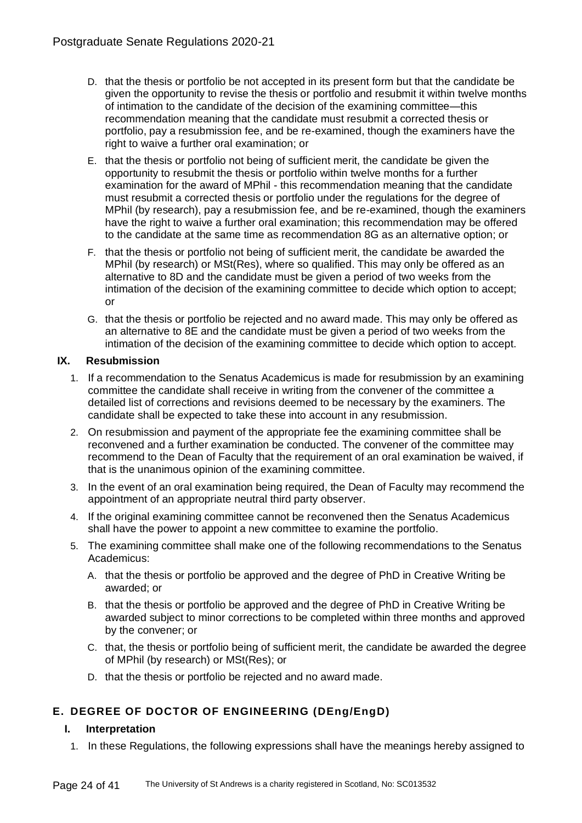- D. that the thesis or portfolio be not accepted in its present form but that the candidate be given the opportunity to revise the thesis or portfolio and resubmit it within twelve months of intimation to the candidate of the decision of the examining committee—this recommendation meaning that the candidate must resubmit a corrected thesis or portfolio, pay a resubmission fee, and be re-examined, though the examiners have the right to waive a further oral examination; or
- E. that the thesis or portfolio not being of sufficient merit, the candidate be given the opportunity to resubmit the thesis or portfolio within twelve months for a further examination for the award of MPhil - this recommendation meaning that the candidate must resubmit a corrected thesis or portfolio under the regulations for the degree of MPhil (by research), pay a resubmission fee, and be re-examined, though the examiners have the right to waive a further oral examination; this recommendation may be offered to the candidate at the same time as recommendation 8G as an alternative option; or
- F. that the thesis or portfolio not being of sufficient merit, the candidate be awarded the MPhil (by research) or MSt(Res), where so qualified. This may only be offered as an alternative to 8D and the candidate must be given a period of two weeks from the intimation of the decision of the examining committee to decide which option to accept; or
- G. that the thesis or portfolio be rejected and no award made. This may only be offered as an alternative to 8E and the candidate must be given a period of two weeks from the intimation of the decision of the examining committee to decide which option to accept.

# **IX. Resubmission**

- 1. If a recommendation to the Senatus Academicus is made for resubmission by an examining committee the candidate shall receive in writing from the convener of the committee a detailed list of corrections and revisions deemed to be necessary by the examiners. The candidate shall be expected to take these into account in any resubmission.
- 2. On resubmission and payment of the appropriate fee the examining committee shall be reconvened and a further examination be conducted. The convener of the committee may recommend to the Dean of Faculty that the requirement of an oral examination be waived, if that is the unanimous opinion of the examining committee.
- 3. In the event of an oral examination being required, the Dean of Faculty may recommend the appointment of an appropriate neutral third party observer.
- 4. If the original examining committee cannot be reconvened then the Senatus Academicus shall have the power to appoint a new committee to examine the portfolio.
- 5. The examining committee shall make one of the following recommendations to the Senatus Academicus:
	- A. that the thesis or portfolio be approved and the degree of PhD in Creative Writing be awarded; or
	- B. that the thesis or portfolio be approved and the degree of PhD in Creative Writing be awarded subject to minor corrections to be completed within three months and approved by the convener; or
	- C. that, the thesis or portfolio being of sufficient merit, the candidate be awarded the degree of MPhil (by research) or MSt(Res); or
	- D. that the thesis or portfolio be rejected and no award made.

# **E. DEGREE OF DOCTOR OF ENGINEERING (DEng/EngD)**

## **I. Interpretation**

1. In these Regulations, the following expressions shall have the meanings hereby assigned to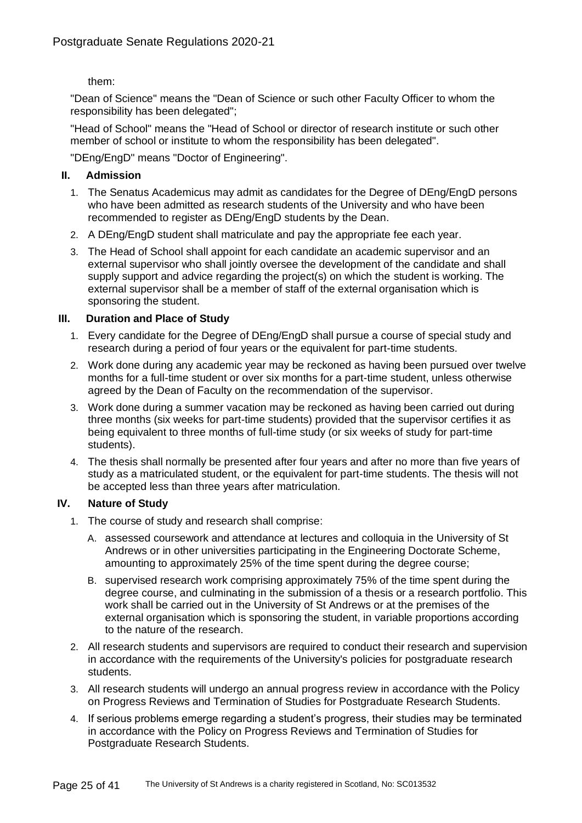them:

"Dean of Science" means the "Dean of Science or such other Faculty Officer to whom the responsibility has been delegated";

"Head of School" means the "Head of School or director of research institute or such other member of school or institute to whom the responsibility has been delegated".

"DEng/EngD" means "Doctor of Engineering".

## **II. Admission**

- 1. The Senatus Academicus may admit as candidates for the Degree of DEng/EngD persons who have been admitted as research students of the University and who have been recommended to register as DEng/EngD students by the Dean.
- 2. A DEng/EngD student shall matriculate and pay the appropriate fee each year.
- 3. The Head of School shall appoint for each candidate an academic supervisor and an external supervisor who shall jointly oversee the development of the candidate and shall supply support and advice regarding the project(s) on which the student is working. The external supervisor shall be a member of staff of the external organisation which is sponsoring the student.

## **III. Duration and Place of Study**

- 1. Every candidate for the Degree of DEng/EngD shall pursue a course of special study and research during a period of four years or the equivalent for part-time students.
- 2. Work done during any academic year may be reckoned as having been pursued over twelve months for a full-time student or over six months for a part-time student, unless otherwise agreed by the Dean of Faculty on the recommendation of the supervisor.
- 3. Work done during a summer vacation may be reckoned as having been carried out during three months (six weeks for part-time students) provided that the supervisor certifies it as being equivalent to three months of full-time study (or six weeks of study for part-time students).
- 4. The thesis shall normally be presented after four years and after no more than five years of study as a matriculated student, or the equivalent for part-time students. The thesis will not be accepted less than three years after matriculation.

## **IV. Nature of Study**

- 1. The course of study and research shall comprise:
	- A. assessed coursework and attendance at lectures and colloquia in the University of St Andrews or in other universities participating in the Engineering Doctorate Scheme, amounting to approximately 25% of the time spent during the degree course;
	- B. supervised research work comprising approximately 75% of the time spent during the degree course, and culminating in the submission of a thesis or a research portfolio. This work shall be carried out in the University of St Andrews or at the premises of the external organisation which is sponsoring the student, in variable proportions according to the nature of the research.
- 2. All research students and supervisors are required to conduct their research and supervision in accordance with the requirements of the University's policies for postgraduate research students.
- 3. All research students will undergo an annual progress review in accordance with the Policy on Progress Reviews and Termination of Studies for Postgraduate Research Students.
- 4. If serious problems emerge regarding a student's progress, their studies may be terminated in accordance with the Policy on Progress Reviews and Termination of Studies for Postgraduate Research Students.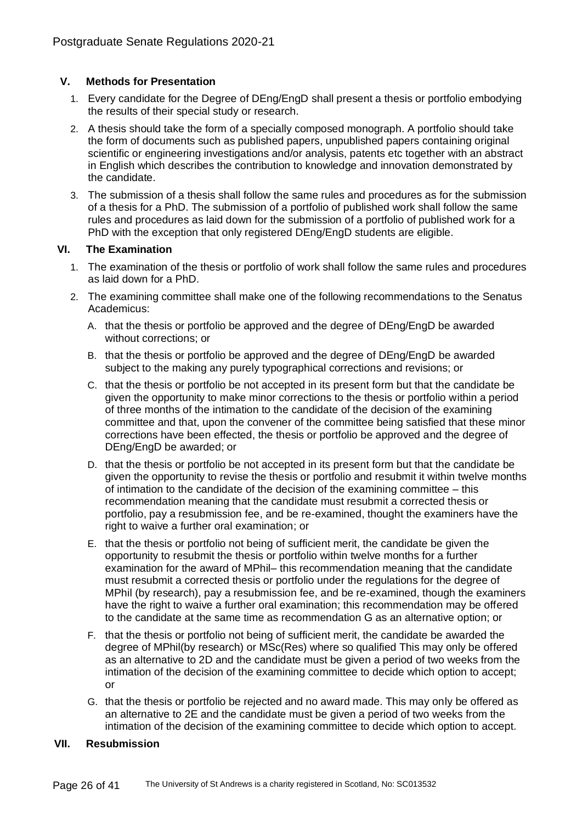## **V. Methods for Presentation**

- 1. Every candidate for the Degree of DEng/EngD shall present a thesis or portfolio embodying the results of their special study or research.
- 2. A thesis should take the form of a specially composed monograph. A portfolio should take the form of documents such as published papers, unpublished papers containing original scientific or engineering investigations and/or analysis, patents etc together with an abstract in English which describes the contribution to knowledge and innovation demonstrated by the candidate.
- 3. The submission of a thesis shall follow the same rules and procedures as for the submission of a thesis for a PhD. The submission of a portfolio of published work shall follow the same rules and procedures as laid down for the submission of a portfolio of published work for a PhD with the exception that only registered DEng/EngD students are eligible.

## **VI. The Examination**

- 1. The examination of the thesis or portfolio of work shall follow the same rules and procedures as laid down for a PhD.
- 2. The examining committee shall make one of the following recommendations to the Senatus Academicus:
	- A. that the thesis or portfolio be approved and the degree of DEng/EngD be awarded without corrections; or
	- B. that the thesis or portfolio be approved and the degree of DEng/EngD be awarded subject to the making any purely typographical corrections and revisions; or
	- C. that the thesis or portfolio be not accepted in its present form but that the candidate be given the opportunity to make minor corrections to the thesis or portfolio within a period of three months of the intimation to the candidate of the decision of the examining committee and that, upon the convener of the committee being satisfied that these minor corrections have been effected, the thesis or portfolio be approved and the degree of DEng/EngD be awarded; or
	- D. that the thesis or portfolio be not accepted in its present form but that the candidate be given the opportunity to revise the thesis or portfolio and resubmit it within twelve months of intimation to the candidate of the decision of the examining committee – this recommendation meaning that the candidate must resubmit a corrected thesis or portfolio, pay a resubmission fee, and be re-examined, thought the examiners have the right to waive a further oral examination; or
	- E. that the thesis or portfolio not being of sufficient merit, the candidate be given the opportunity to resubmit the thesis or portfolio within twelve months for a further examination for the award of MPhil– this recommendation meaning that the candidate must resubmit a corrected thesis or portfolio under the regulations for the degree of MPhil (by research), pay a resubmission fee, and be re-examined, though the examiners have the right to waive a further oral examination; this recommendation may be offered to the candidate at the same time as recommendation G as an alternative option; or
	- F. that the thesis or portfolio not being of sufficient merit, the candidate be awarded the degree of MPhil(by research) or MSc(Res) where so qualified This may only be offered as an alternative to 2D and the candidate must be given a period of two weeks from the intimation of the decision of the examining committee to decide which option to accept; or
	- G. that the thesis or portfolio be rejected and no award made. This may only be offered as an alternative to 2E and the candidate must be given a period of two weeks from the intimation of the decision of the examining committee to decide which option to accept.

## **VII. Resubmission**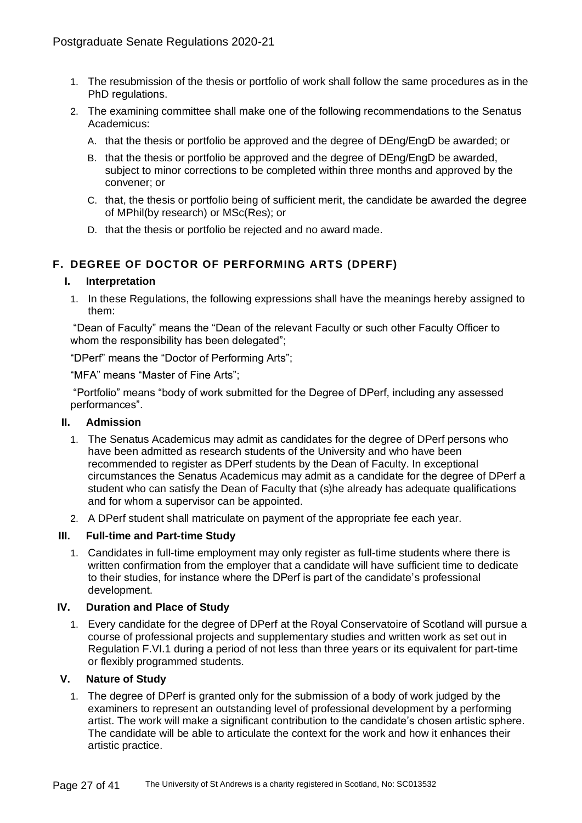- 1. The resubmission of the thesis or portfolio of work shall follow the same procedures as in the PhD regulations.
- 2. The examining committee shall make one of the following recommendations to the Senatus Academicus:
	- A. that the thesis or portfolio be approved and the degree of DEng/EngD be awarded; or
	- B. that the thesis or portfolio be approved and the degree of DEng/EngD be awarded, subject to minor corrections to be completed within three months and approved by the convener; or
	- C. that, the thesis or portfolio being of sufficient merit, the candidate be awarded the degree of MPhil(by research) or MSc(Res); or
	- D. that the thesis or portfolio be rejected and no award made.

# **F. DEGREE OF DOCTOR OF PERFORMING ARTS (DPERF)**

#### **I. Interpretation**

1. In these Regulations, the following expressions shall have the meanings hereby assigned to them:

"Dean of Faculty" means the "Dean of the relevant Faculty or such other Faculty Officer to whom the responsibility has been delegated";

"DPerf" means the "Doctor of Performing Arts";

"MFA" means "Master of Fine Arts";

"Portfolio" means "body of work submitted for the Degree of DPerf, including any assessed performances".

#### **II. Admission**

- 1. The Senatus Academicus may admit as candidates for the degree of DPerf persons who have been admitted as research students of the University and who have been recommended to register as DPerf students by the Dean of Faculty. In exceptional circumstances the Senatus Academicus may admit as a candidate for the degree of DPerf a student who can satisfy the Dean of Faculty that (s)he already has adequate qualifications and for whom a supervisor can be appointed.
- 2. A DPerf student shall matriculate on payment of the appropriate fee each year.

## **III. Full-time and Part-time Study**

1. Candidates in full-time employment may only register as full-time students where there is written confirmation from the employer that a candidate will have sufficient time to dedicate to their studies, for instance where the DPerf is part of the candidate's professional development.

#### **IV. Duration and Place of Study**

1. Every candidate for the degree of DPerf at the Royal Conservatoire of Scotland will pursue a course of professional projects and supplementary studies and written work as set out in Regulation F.VI.1 during a period of not less than three years or its equivalent for part-time or flexibly programmed students.

#### **V. Nature of Study**

1. The degree of DPerf is granted only for the submission of a body of work judged by the examiners to represent an outstanding level of professional development by a performing artist. The work will make a significant contribution to the candidate's chosen artistic sphere. The candidate will be able to articulate the context for the work and how it enhances their artistic practice.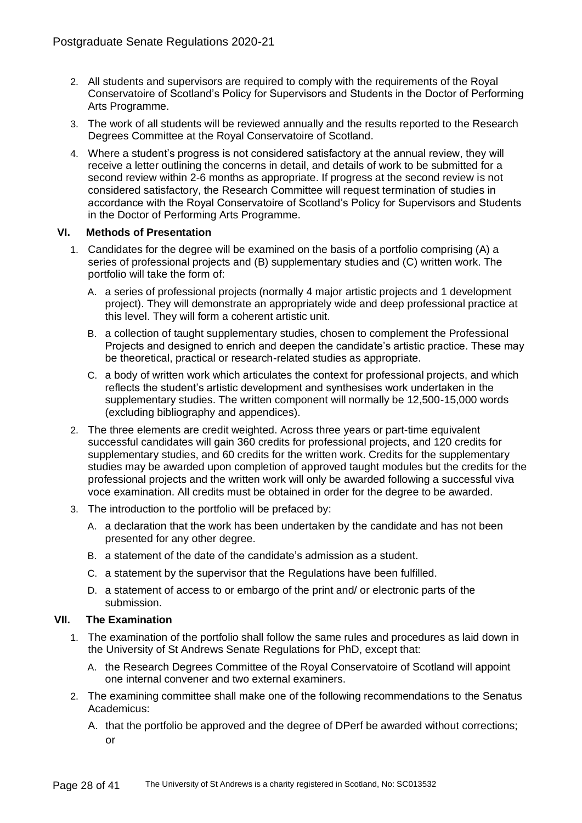- 2. All students and supervisors are required to comply with the requirements of the Royal Conservatoire of Scotland's Policy for Supervisors and Students in the Doctor of Performing Arts Programme.
- 3. The work of all students will be reviewed annually and the results reported to the Research Degrees Committee at the Royal Conservatoire of Scotland.
- 4. Where a student's progress is not considered satisfactory at the annual review, they will receive a letter outlining the concerns in detail, and details of work to be submitted for a second review within 2-6 months as appropriate. If progress at the second review is not considered satisfactory, the Research Committee will request termination of studies in accordance with the Royal Conservatoire of Scotland's Policy for Supervisors and Students in the Doctor of Performing Arts Programme.

## **VI. Methods of Presentation**

- 1. Candidates for the degree will be examined on the basis of a portfolio comprising (A) a series of professional projects and (B) supplementary studies and (C) written work. The portfolio will take the form of:
	- A. a series of professional projects (normally 4 major artistic projects and 1 development project). They will demonstrate an appropriately wide and deep professional practice at this level. They will form a coherent artistic unit.
	- B. a collection of taught supplementary studies, chosen to complement the Professional Projects and designed to enrich and deepen the candidate's artistic practice. These may be theoretical, practical or research-related studies as appropriate.
	- C. a body of written work which articulates the context for professional projects, and which reflects the student's artistic development and synthesises work undertaken in the supplementary studies. The written component will normally be 12,500-15,000 words (excluding bibliography and appendices).
- 2. The three elements are credit weighted. Across three years or part-time equivalent successful candidates will gain 360 credits for professional projects, and 120 credits for supplementary studies, and 60 credits for the written work. Credits for the supplementary studies may be awarded upon completion of approved taught modules but the credits for the professional projects and the written work will only be awarded following a successful viva voce examination. All credits must be obtained in order for the degree to be awarded.
- 3. The introduction to the portfolio will be prefaced by:
	- A. a declaration that the work has been undertaken by the candidate and has not been presented for any other degree.
	- B. a statement of the date of the candidate's admission as a student.
	- C. a statement by the supervisor that the Regulations have been fulfilled.
	- D. a statement of access to or embargo of the print and/ or electronic parts of the submission.

## **VII. The Examination**

- 1. The examination of the portfolio shall follow the same rules and procedures as laid down in the University of St Andrews Senate Regulations for PhD, except that:
	- A. the Research Degrees Committee of the Royal Conservatoire of Scotland will appoint one internal convener and two external examiners.
- 2. The examining committee shall make one of the following recommendations to the Senatus Academicus:
	- A. that the portfolio be approved and the degree of DPerf be awarded without corrections; or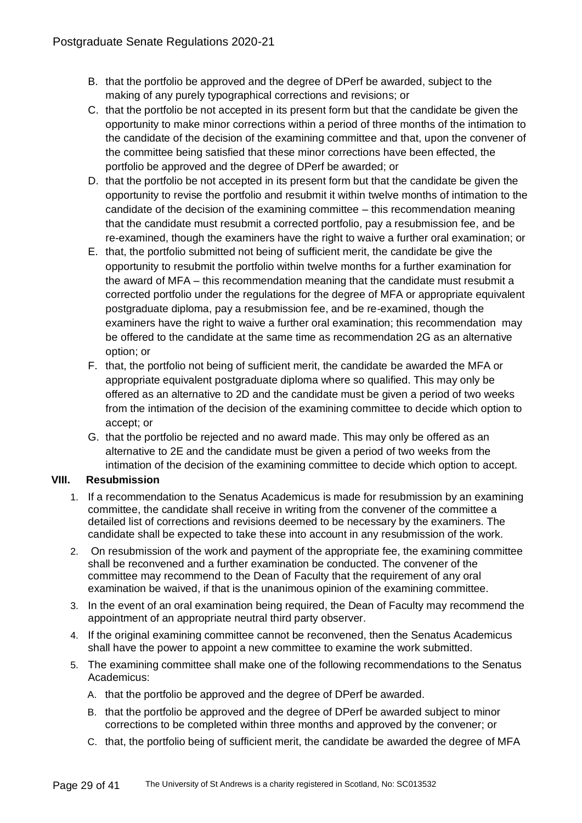- B. that the portfolio be approved and the degree of DPerf be awarded, subject to the making of any purely typographical corrections and revisions; or
- C. that the portfolio be not accepted in its present form but that the candidate be given the opportunity to make minor corrections within a period of three months of the intimation to the candidate of the decision of the examining committee and that, upon the convener of the committee being satisfied that these minor corrections have been effected, the portfolio be approved and the degree of DPerf be awarded; or
- D. that the portfolio be not accepted in its present form but that the candidate be given the opportunity to revise the portfolio and resubmit it within twelve months of intimation to the candidate of the decision of the examining committee – this recommendation meaning that the candidate must resubmit a corrected portfolio, pay a resubmission fee, and be re-examined, though the examiners have the right to waive a further oral examination; or
- E. that, the portfolio submitted not being of sufficient merit, the candidate be give the opportunity to resubmit the portfolio within twelve months for a further examination for the award of MFA – this recommendation meaning that the candidate must resubmit a corrected portfolio under the regulations for the degree of MFA or appropriate equivalent postgraduate diploma, pay a resubmission fee, and be re-examined, though the examiners have the right to waive a further oral examination; this recommendation may be offered to the candidate at the same time as recommendation 2G as an alternative option; or
- F. that, the portfolio not being of sufficient merit, the candidate be awarded the MFA or appropriate equivalent postgraduate diploma where so qualified. This may only be offered as an alternative to 2D and the candidate must be given a period of two weeks from the intimation of the decision of the examining committee to decide which option to accept; or
- G. that the portfolio be rejected and no award made. This may only be offered as an alternative to 2E and the candidate must be given a period of two weeks from the intimation of the decision of the examining committee to decide which option to accept.

# **VIII. Resubmission**

- 1. If a recommendation to the Senatus Academicus is made for resubmission by an examining committee, the candidate shall receive in writing from the convener of the committee a detailed list of corrections and revisions deemed to be necessary by the examiners. The candidate shall be expected to take these into account in any resubmission of the work.
- 2. On resubmission of the work and payment of the appropriate fee, the examining committee shall be reconvened and a further examination be conducted. The convener of the committee may recommend to the Dean of Faculty that the requirement of any oral examination be waived, if that is the unanimous opinion of the examining committee.
- 3. In the event of an oral examination being required, the Dean of Faculty may recommend the appointment of an appropriate neutral third party observer.
- 4. If the original examining committee cannot be reconvened, then the Senatus Academicus shall have the power to appoint a new committee to examine the work submitted.
- 5. The examining committee shall make one of the following recommendations to the Senatus Academicus:
	- A. that the portfolio be approved and the degree of DPerf be awarded.
	- B. that the portfolio be approved and the degree of DPerf be awarded subject to minor corrections to be completed within three months and approved by the convener; or
	- C. that, the portfolio being of sufficient merit, the candidate be awarded the degree of MFA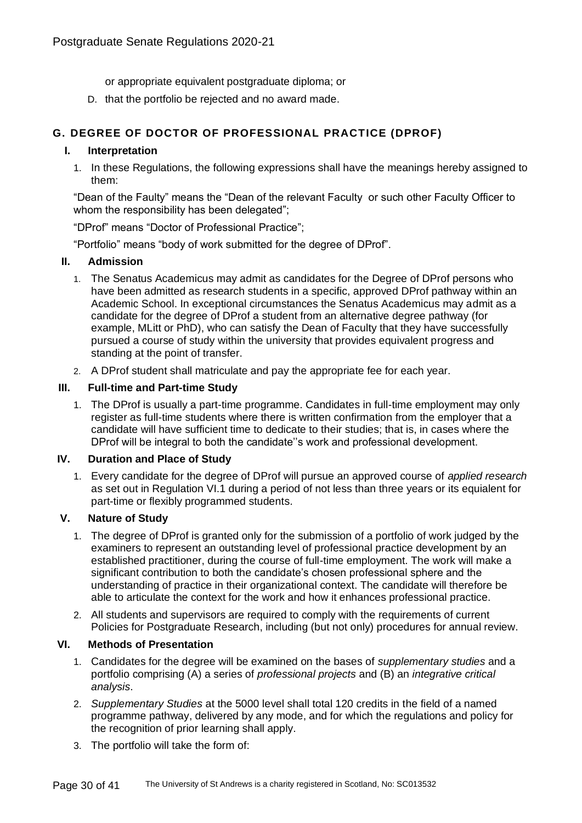or appropriate equivalent postgraduate diploma; or

D. that the portfolio be rejected and no award made.

# **G. DEGREE OF DOCTOR OF PROFESSIONAL PRACTICE (DPROF)**

## **I. Interpretation**

1. In these Regulations, the following expressions shall have the meanings hereby assigned to them:

"Dean of the Faulty" means the "Dean of the relevant Faculty or such other Faculty Officer to whom the responsibility has been delegated";

"DProf" means "Doctor of Professional Practice";

"Portfolio" means "body of work submitted for the degree of DProf".

## **II. Admission**

- 1. The Senatus Academicus may admit as candidates for the Degree of DProf persons who have been admitted as research students in a specific, approved DProf pathway within an Academic School. In exceptional circumstances the Senatus Academicus may admit as a candidate for the degree of DProf a student from an alternative degree pathway (for example, MLitt or PhD), who can satisfy the Dean of Faculty that they have successfully pursued a course of study within the university that provides equivalent progress and standing at the point of transfer.
- 2. A DProf student shall matriculate and pay the appropriate fee for each year.

## **III. Full-time and Part-time Study**

1. The DProf is usually a part-time programme. Candidates in full-time employment may only register as full-time students where there is written confirmation from the employer that a candidate will have sufficient time to dedicate to their studies; that is, in cases where the DProf will be integral to both the candidate''s work and professional development.

## **IV. Duration and Place of Study**

1. Every candidate for the degree of DProf will pursue an approved course of *applied research* as set out in Regulation VI.1 during a period of not less than three years or its equialent for part-time or flexibly programmed students.

## **V. Nature of Study**

- 1. The degree of DProf is granted only for the submission of a portfolio of work judged by the examiners to represent an outstanding level of professional practice development by an established practitioner, during the course of full-time employment. The work will make a significant contribution to both the candidate's chosen professional sphere and the understanding of practice in their organizational context. The candidate will therefore be able to articulate the context for the work and how it enhances professional practice.
- 2. All students and supervisors are required to comply with the requirements of current Policies for Postgraduate Research, including (but not only) procedures for annual review.

## **VI. Methods of Presentation**

- 1. Candidates for the degree will be examined on the bases of *supplementary studies* and a portfolio comprising (A) a series of *professional projects* and (B) an *integrative critical analysis*.
- 2. *Supplementary Studies* at the 5000 level shall total 120 credits in the field of a named programme pathway, delivered by any mode, and for which the regulations and policy for the recognition of prior learning shall apply.
- 3. The portfolio will take the form of: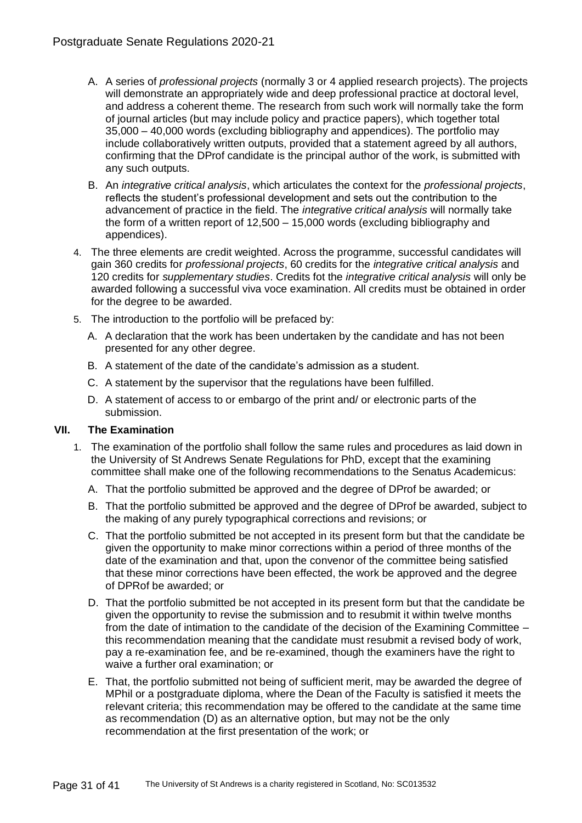- A. A series of *professional projects* (normally 3 or 4 applied research projects). The projects will demonstrate an appropriately wide and deep professional practice at doctoral level, and address a coherent theme. The research from such work will normally take the form of journal articles (but may include policy and practice papers), which together total 35,000 – 40,000 words (excluding bibliography and appendices). The portfolio may include collaboratively written outputs, provided that a statement agreed by all authors, confirming that the DProf candidate is the principal author of the work, is submitted with any such outputs.
- B. An *integrative critical analysis*, which articulates the context for the *professional projects*, reflects the student's professional development and sets out the contribution to the advancement of practice in the field. The *integrative critical analysis* will normally take the form of a written report of 12,500 – 15,000 words (excluding bibliography and appendices).
- 4. The three elements are credit weighted. Across the programme, successful candidates will gain 360 credits for *professional projects*, 60 credits for the *integrative critical analysis* and 120 credits for *supplementary studies*. Credits fot the *integrative critical analysis* will only be awarded following a successful viva voce examination. All credits must be obtained in order for the degree to be awarded.
- 5. The introduction to the portfolio will be prefaced by:
	- A. A declaration that the work has been undertaken by the candidate and has not been presented for any other degree.
	- B. A statement of the date of the candidate's admission as a student.
	- C. A statement by the supervisor that the regulations have been fulfilled.
	- D. A statement of access to or embargo of the print and/ or electronic parts of the submission.

## **VII. The Examination**

- 1. The examination of the portfolio shall follow the same rules and procedures as laid down in the University of St Andrews Senate Regulations for PhD, except that the examining committee shall make one of the following recommendations to the Senatus Academicus:
	- A. That the portfolio submitted be approved and the degree of DProf be awarded; or
	- B. That the portfolio submitted be approved and the degree of DProf be awarded, subject to the making of any purely typographical corrections and revisions; or
	- C. That the portfolio submitted be not accepted in its present form but that the candidate be given the opportunity to make minor corrections within a period of three months of the date of the examination and that, upon the convenor of the committee being satisfied that these minor corrections have been effected, the work be approved and the degree of DPRof be awarded; or
	- D. That the portfolio submitted be not accepted in its present form but that the candidate be given the opportunity to revise the submission and to resubmit it within twelve months from the date of intimation to the candidate of the decision of the Examining Committee – this recommendation meaning that the candidate must resubmit a revised body of work, pay a re-examination fee, and be re-examined, though the examiners have the right to waive a further oral examination; or
	- E. That, the portfolio submitted not being of sufficient merit, may be awarded the degree of MPhil or a postgraduate diploma, where the Dean of the Faculty is satisfied it meets the relevant criteria; this recommendation may be offered to the candidate at the same time as recommendation (D) as an alternative option, but may not be the only recommendation at the first presentation of the work; or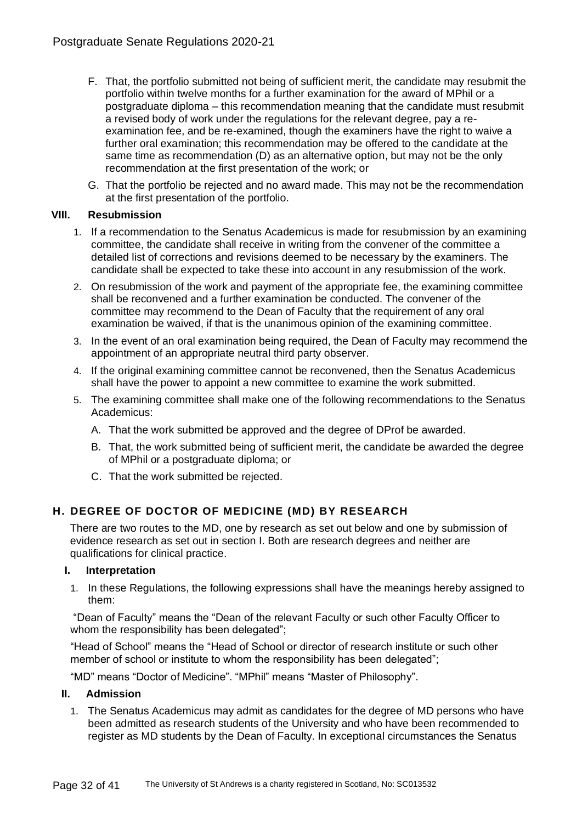- F. That, the portfolio submitted not being of sufficient merit, the candidate may resubmit the portfolio within twelve months for a further examination for the award of MPhil or a postgraduate diploma – this recommendation meaning that the candidate must resubmit a revised body of work under the regulations for the relevant degree, pay a reexamination fee, and be re-examined, though the examiners have the right to waive a further oral examination; this recommendation may be offered to the candidate at the same time as recommendation (D) as an alternative option, but may not be the only recommendation at the first presentation of the work; or
- G. That the portfolio be rejected and no award made. This may not be the recommendation at the first presentation of the portfolio.

## **VIII. Resubmission**

- 1. If a recommendation to the Senatus Academicus is made for resubmission by an examining committee, the candidate shall receive in writing from the convener of the committee a detailed list of corrections and revisions deemed to be necessary by the examiners. The candidate shall be expected to take these into account in any resubmission of the work.
- 2. On resubmission of the work and payment of the appropriate fee, the examining committee shall be reconvened and a further examination be conducted. The convener of the committee may recommend to the Dean of Faculty that the requirement of any oral examination be waived, if that is the unanimous opinion of the examining committee.
- 3. In the event of an oral examination being required, the Dean of Faculty may recommend the appointment of an appropriate neutral third party observer.
- 4. If the original examining committee cannot be reconvened, then the Senatus Academicus shall have the power to appoint a new committee to examine the work submitted.
- 5. The examining committee shall make one of the following recommendations to the Senatus Academicus:
	- A. That the work submitted be approved and the degree of DProf be awarded.
	- B. That, the work submitted being of sufficient merit, the candidate be awarded the degree of MPhil or a postgraduate diploma; or
	- C. That the work submitted be rejected.

# **H. DEGREE OF DOCTOR OF MEDICINE (MD) BY RESEARCH**

There are two routes to the MD, one by research as set out below and one by submission of evidence research as set out in section I. Both are research degrees and neither are qualifications for clinical practice.

## **I. Interpretation**

1. In these Regulations, the following expressions shall have the meanings hereby assigned to them:

"Dean of Faculty" means the "Dean of the relevant Faculty or such other Faculty Officer to whom the responsibility has been delegated";

"Head of School" means the "Head of School or director of research institute or such other member of school or institute to whom the responsibility has been delegated";

"MD" means "Doctor of Medicine". "MPhil" means "Master of Philosophy".

## **II. Admission**

1. The Senatus Academicus may admit as candidates for the degree of MD persons who have been admitted as research students of the University and who have been recommended to register as MD students by the Dean of Faculty. In exceptional circumstances the Senatus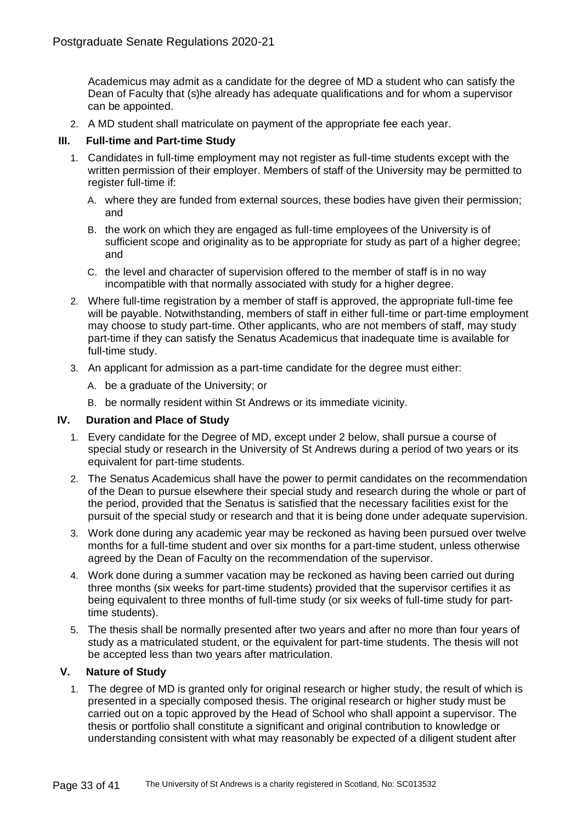Academicus may admit as a candidate for the degree of MD a student who can satisfy the Dean of Faculty that (s)he already has adequate qualifications and for whom a supervisor can be appointed.

2. A MD student shall matriculate on payment of the appropriate fee each year.

# **III. Full-time and Part-time Study**

- 1. Candidates in full-time employment may not register as full-time students except with the written permission of their employer. Members of staff of the University may be permitted to register full-time if:
	- A. where they are funded from external sources, these bodies have given their permission; and
	- B. the work on which they are engaged as full-time employees of the University is of sufficient scope and originality as to be appropriate for study as part of a higher degree; and
	- C. the level and character of supervision offered to the member of staff is in no way incompatible with that normally associated with study for a higher degree.
- 2. Where full-time registration by a member of staff is approved, the appropriate full-time fee will be payable. Notwithstanding, members of staff in either full-time or part-time employment may choose to study part-time. Other applicants, who are not members of staff, may study part-time if they can satisfy the Senatus Academicus that inadequate time is available for full-time study.
- 3. An applicant for admission as a part-time candidate for the degree must either:
	- A. be a graduate of the University; or
	- B. be normally resident within St Andrews or its immediate vicinity.

## **IV. Duration and Place of Study**

- 1. Every candidate for the Degree of MD, except under 2 below, shall pursue a course of special study or research in the University of St Andrews during a period of two years or its equivalent for part-time students.
- 2. The Senatus Academicus shall have the power to permit candidates on the recommendation of the Dean to pursue elsewhere their special study and research during the whole or part of the period, provided that the Senatus is satisfied that the necessary facilities exist for the pursuit of the special study or research and that it is being done under adequate supervision.
- 3. Work done during any academic year may be reckoned as having been pursued over twelve months for a full-time student and over six months for a part-time student, unless otherwise agreed by the Dean of Faculty on the recommendation of the supervisor.
- 4. Work done during a summer vacation may be reckoned as having been carried out during three months (six weeks for part-time students) provided that the supervisor certifies it as being equivalent to three months of full-time study (or six weeks of full-time study for parttime students).
- 5. The thesis shall be normally presented after two years and after no more than four years of study as a matriculated student, or the equivalent for part-time students. The thesis will not be accepted less than two years after matriculation.

# **V. Nature of Study**

1. The degree of MD is granted only for original research or higher study, the result of which is presented in a specially composed thesis. The original research or higher study must be carried out on a topic approved by the Head of School who shall appoint a supervisor. The thesis or portfolio shall constitute a significant and original contribution to knowledge or understanding consistent with what may reasonably be expected of a diligent student after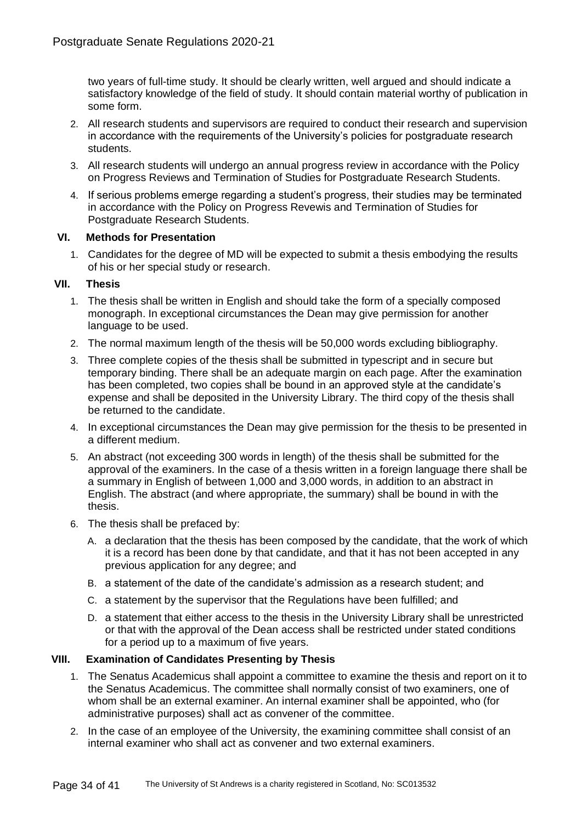two years of full-time study. It should be clearly written, well argued and should indicate a satisfactory knowledge of the field of study. It should contain material worthy of publication in some form.

- 2. All research students and supervisors are required to conduct their research and supervision in accordance with the requirements of the University's policies for postgraduate research students.
- 3. All research students will undergo an annual progress review in accordance with the Policy on Progress Reviews and Termination of Studies for Postgraduate Research Students.
- 4. If serious problems emerge regarding a student's progress, their studies may be terminated in accordance with the Policy on Progress Revewis and Termination of Studies for Postgraduate Research Students.

## **VI. Methods for Presentation**

1. Candidates for the degree of MD will be expected to submit a thesis embodying the results of his or her special study or research.

## **VII. Thesis**

- 1. The thesis shall be written in English and should take the form of a specially composed monograph. In exceptional circumstances the Dean may give permission for another language to be used.
- 2. The normal maximum length of the thesis will be 50,000 words excluding bibliography.
- 3. Three complete copies of the thesis shall be submitted in typescript and in secure but temporary binding. There shall be an adequate margin on each page. After the examination has been completed, two copies shall be bound in an approved style at the candidate's expense and shall be deposited in the University Library. The third copy of the thesis shall be returned to the candidate.
- 4. In exceptional circumstances the Dean may give permission for the thesis to be presented in a different medium.
- 5. An abstract (not exceeding 300 words in length) of the thesis shall be submitted for the approval of the examiners. In the case of a thesis written in a foreign language there shall be a summary in English of between 1,000 and 3,000 words, in addition to an abstract in English. The abstract (and where appropriate, the summary) shall be bound in with the thesis.
- 6. The thesis shall be prefaced by:
	- A. a declaration that the thesis has been composed by the candidate, that the work of which it is a record has been done by that candidate, and that it has not been accepted in any previous application for any degree; and
	- B. a statement of the date of the candidate's admission as a research student; and
	- C. a statement by the supervisor that the Regulations have been fulfilled; and
	- D. a statement that either access to the thesis in the University Library shall be unrestricted or that with the approval of the Dean access shall be restricted under stated conditions for a period up to a maximum of five years.

## **VIII. Examination of Candidates Presenting by Thesis**

- 1. The Senatus Academicus shall appoint a committee to examine the thesis and report on it to the Senatus Academicus. The committee shall normally consist of two examiners, one of whom shall be an external examiner. An internal examiner shall be appointed, who (for administrative purposes) shall act as convener of the committee.
- 2. In the case of an employee of the University, the examining committee shall consist of an internal examiner who shall act as convener and two external examiners.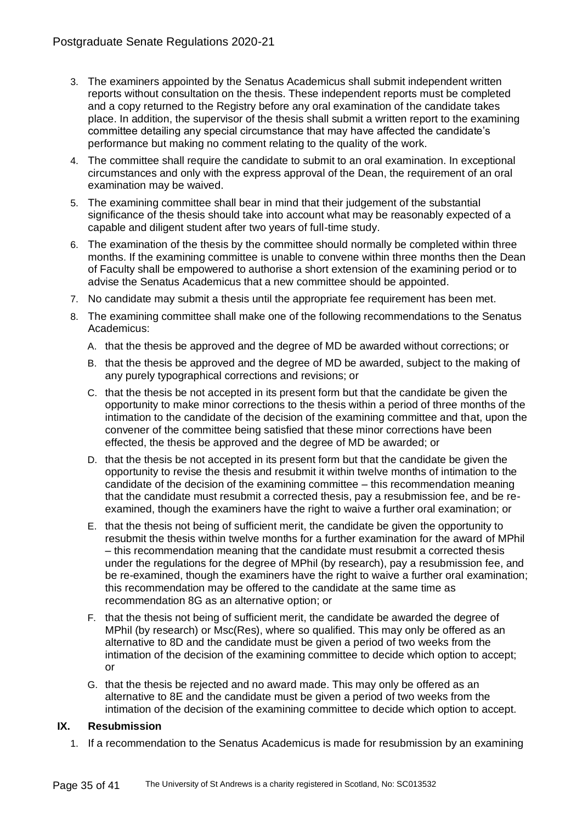- 3. The examiners appointed by the Senatus Academicus shall submit independent written reports without consultation on the thesis. These independent reports must be completed and a copy returned to the Registry before any oral examination of the candidate takes place. In addition, the supervisor of the thesis shall submit a written report to the examining committee detailing any special circumstance that may have affected the candidate's performance but making no comment relating to the quality of the work.
- 4. The committee shall require the candidate to submit to an oral examination. In exceptional circumstances and only with the express approval of the Dean, the requirement of an oral examination may be waived.
- 5. The examining committee shall bear in mind that their judgement of the substantial significance of the thesis should take into account what may be reasonably expected of a capable and diligent student after two years of full-time study.
- 6. The examination of the thesis by the committee should normally be completed within three months. If the examining committee is unable to convene within three months then the Dean of Faculty shall be empowered to authorise a short extension of the examining period or to advise the Senatus Academicus that a new committee should be appointed.
- 7. No candidate may submit a thesis until the appropriate fee requirement has been met.
- 8. The examining committee shall make one of the following recommendations to the Senatus Academicus:
	- A. that the thesis be approved and the degree of MD be awarded without corrections; or
	- B. that the thesis be approved and the degree of MD be awarded, subject to the making of any purely typographical corrections and revisions; or
	- C. that the thesis be not accepted in its present form but that the candidate be given the opportunity to make minor corrections to the thesis within a period of three months of the intimation to the candidate of the decision of the examining committee and that, upon the convener of the committee being satisfied that these minor corrections have been effected, the thesis be approved and the degree of MD be awarded; or
	- D. that the thesis be not accepted in its present form but that the candidate be given the opportunity to revise the thesis and resubmit it within twelve months of intimation to the candidate of the decision of the examining committee – this recommendation meaning that the candidate must resubmit a corrected thesis, pay a resubmission fee, and be reexamined, though the examiners have the right to waive a further oral examination; or
	- E. that the thesis not being of sufficient merit, the candidate be given the opportunity to resubmit the thesis within twelve months for a further examination for the award of MPhil – this recommendation meaning that the candidate must resubmit a corrected thesis under the regulations for the degree of MPhil (by research), pay a resubmission fee, and be re-examined, though the examiners have the right to waive a further oral examination; this recommendation may be offered to the candidate at the same time as recommendation 8G as an alternative option; or
	- F. that the thesis not being of sufficient merit, the candidate be awarded the degree of MPhil (by research) or Msc(Res), where so qualified. This may only be offered as an alternative to 8D and the candidate must be given a period of two weeks from the intimation of the decision of the examining committee to decide which option to accept; or
	- G. that the thesis be rejected and no award made. This may only be offered as an alternative to 8E and the candidate must be given a period of two weeks from the intimation of the decision of the examining committee to decide which option to accept.

## **IX. Resubmission**

1. If a recommendation to the Senatus Academicus is made for resubmission by an examining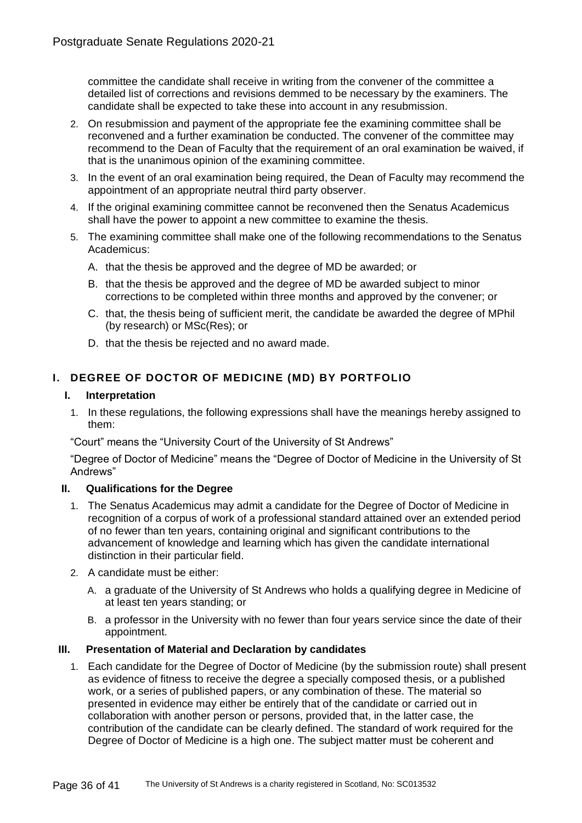committee the candidate shall receive in writing from the convener of the committee a detailed list of corrections and revisions demmed to be necessary by the examiners. The candidate shall be expected to take these into account in any resubmission.

- 2. On resubmission and payment of the appropriate fee the examining committee shall be reconvened and a further examination be conducted. The convener of the committee may recommend to the Dean of Faculty that the requirement of an oral examination be waived, if that is the unanimous opinion of the examining committee.
- 3. In the event of an oral examination being required, the Dean of Faculty may recommend the appointment of an appropriate neutral third party observer.
- 4. If the original examining committee cannot be reconvened then the Senatus Academicus shall have the power to appoint a new committee to examine the thesis.
- 5. The examining committee shall make one of the following recommendations to the Senatus Academicus:
	- A. that the thesis be approved and the degree of MD be awarded; or
	- B. that the thesis be approved and the degree of MD be awarded subject to minor corrections to be completed within three months and approved by the convener; or
	- C. that, the thesis being of sufficient merit, the candidate be awarded the degree of MPhil (by research) or MSc(Res); or
	- D. that the thesis be rejected and no award made.

# **I. DEGREE OF DOCTOR OF MEDICINE (MD) BY PORTFOLIO**

## **I. Interpretation**

1. In these regulations, the following expressions shall have the meanings hereby assigned to them:

"Court" means the "University Court of the University of St Andrews"

"Degree of Doctor of Medicine" means the "Degree of Doctor of Medicine in the University of St Andrews"

## **II. Qualifications for the Degree**

- 1. The Senatus Academicus may admit a candidate for the Degree of Doctor of Medicine in recognition of a corpus of work of a professional standard attained over an extended period of no fewer than ten years, containing original and significant contributions to the advancement of knowledge and learning which has given the candidate international distinction in their particular field.
- 2. A candidate must be either:
	- A. a graduate of the University of St Andrews who holds a qualifying degree in Medicine of at least ten years standing; or
	- B. a professor in the University with no fewer than four years service since the date of their appointment.

## **III. Presentation of Material and Declaration by candidates**

1. Each candidate for the Degree of Doctor of Medicine (by the submission route) shall present as evidence of fitness to receive the degree a specially composed thesis, or a published work, or a series of published papers, or any combination of these. The material so presented in evidence may either be entirely that of the candidate or carried out in collaboration with another person or persons, provided that, in the latter case, the contribution of the candidate can be clearly defined. The standard of work required for the Degree of Doctor of Medicine is a high one. The subject matter must be coherent and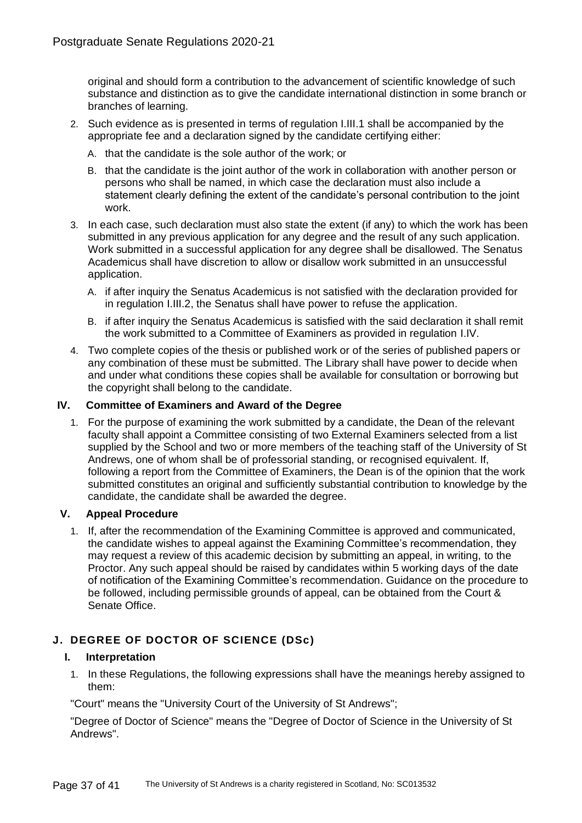original and should form a contribution to the advancement of scientific knowledge of such substance and distinction as to give the candidate international distinction in some branch or branches of learning.

- 2. Such evidence as is presented in terms of regulation I.III.1 shall be accompanied by the appropriate fee and a declaration signed by the candidate certifying either:
	- A. that the candidate is the sole author of the work; or
	- B. that the candidate is the joint author of the work in collaboration with another person or persons who shall be named, in which case the declaration must also include a statement clearly defining the extent of the candidate's personal contribution to the joint work.
- 3. In each case, such declaration must also state the extent (if any) to which the work has been submitted in any previous application for any degree and the result of any such application. Work submitted in a successful application for any degree shall be disallowed. The Senatus Academicus shall have discretion to allow or disallow work submitted in an unsuccessful application.
	- A. if after inquiry the Senatus Academicus is not satisfied with the declaration provided for in regulation I.III.2, the Senatus shall have power to refuse the application.
	- B. if after inquiry the Senatus Academicus is satisfied with the said declaration it shall remit the work submitted to a Committee of Examiners as provided in regulation I.IV.
- 4. Two complete copies of the thesis or published work or of the series of published papers or any combination of these must be submitted. The Library shall have power to decide when and under what conditions these copies shall be available for consultation or borrowing but the copyright shall belong to the candidate.

## **IV. Committee of Examiners and Award of the Degree**

1. For the purpose of examining the work submitted by a candidate, the Dean of the relevant faculty shall appoint a Committee consisting of two External Examiners selected from a list supplied by the School and two or more members of the teaching staff of the University of St Andrews, one of whom shall be of professorial standing, or recognised equivalent. If, following a report from the Committee of Examiners, the Dean is of the opinion that the work submitted constitutes an original and sufficiently substantial contribution to knowledge by the candidate, the candidate shall be awarded the degree.

## **V. Appeal Procedure**

1. If, after the recommendation of the Examining Committee is approved and communicated, the candidate wishes to appeal against the Examining Committee's recommendation, they may request a review of this academic decision by submitting an appeal, in writing, to the Proctor. Any such appeal should be raised by candidates within 5 working days of the date of notification of the Examining Committee's recommendation. Guidance on the procedure to be followed, including permissible grounds of appeal, can be obtained from the Court & Senate Office.

# **J. DEGREE OF DOCTOR OF SCIENCE (DSc)**

## **I. Interpretation**

1. In these Regulations, the following expressions shall have the meanings hereby assigned to them:

"Court" means the "University Court of the University of St Andrews";

"Degree of Doctor of Science" means the "Degree of Doctor of Science in the University of St Andrews".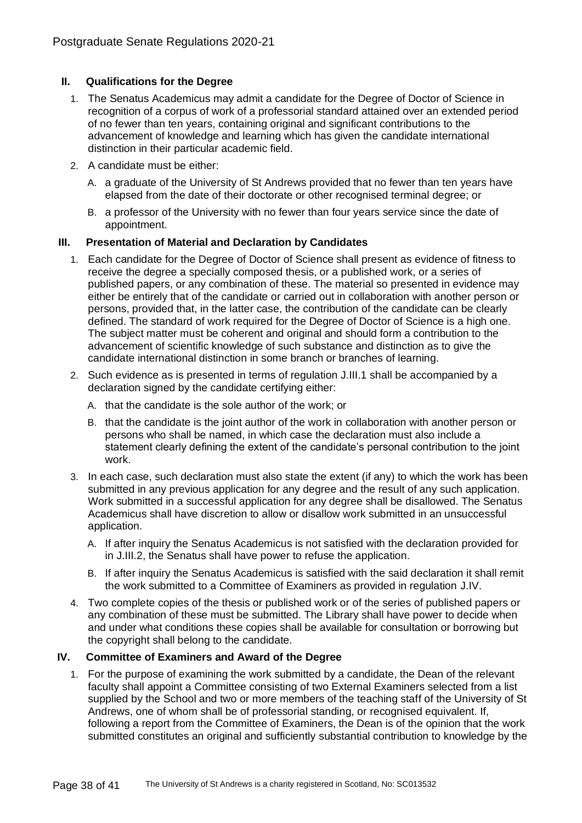## **II. Qualifications for the Degree**

- 1. The Senatus Academicus may admit a candidate for the Degree of Doctor of Science in recognition of a corpus of work of a professorial standard attained over an extended period of no fewer than ten years, containing original and significant contributions to the advancement of knowledge and learning which has given the candidate international distinction in their particular academic field.
- 2. A candidate must be either:
	- A. a graduate of the University of St Andrews provided that no fewer than ten years have elapsed from the date of their doctorate or other recognised terminal degree; or
	- B. a professor of the University with no fewer than four years service since the date of appointment.

## **III. Presentation of Material and Declaration by Candidates**

- 1. Each candidate for the Degree of Doctor of Science shall present as evidence of fitness to receive the degree a specially composed thesis, or a published work, or a series of published papers, or any combination of these. The material so presented in evidence may either be entirely that of the candidate or carried out in collaboration with another person or persons, provided that, in the latter case, the contribution of the candidate can be clearly defined. The standard of work required for the Degree of Doctor of Science is a high one. The subject matter must be coherent and original and should form a contribution to the advancement of scientific knowledge of such substance and distinction as to give the candidate international distinction in some branch or branches of learning.
- 2. Such evidence as is presented in terms of regulation J.III.1 shall be accompanied by a declaration signed by the candidate certifying either:
	- A. that the candidate is the sole author of the work; or
	- B. that the candidate is the joint author of the work in collaboration with another person or persons who shall be named, in which case the declaration must also include a statement clearly defining the extent of the candidate's personal contribution to the joint work.
- 3. In each case, such declaration must also state the extent (if any) to which the work has been submitted in any previous application for any degree and the result of any such application. Work submitted in a successful application for any degree shall be disallowed. The Senatus Academicus shall have discretion to allow or disallow work submitted in an unsuccessful application.
	- A. If after inquiry the Senatus Academicus is not satisfied with the declaration provided for in J.III.2, the Senatus shall have power to refuse the application.
	- B. If after inquiry the Senatus Academicus is satisfied with the said declaration it shall remit the work submitted to a Committee of Examiners as provided in regulation J.IV.
- 4. Two complete copies of the thesis or published work or of the series of published papers or any combination of these must be submitted. The Library shall have power to decide when and under what conditions these copies shall be available for consultation or borrowing but the copyright shall belong to the candidate.

## **IV. Committee of Examiners and Award of the Degree**

1. For the purpose of examining the work submitted by a candidate, the Dean of the relevant faculty shall appoint a Committee consisting of two External Examiners selected from a list supplied by the School and two or more members of the teaching staff of the University of St Andrews, one of whom shall be of professorial standing, or recognised equivalent. If, following a report from the Committee of Examiners, the Dean is of the opinion that the work submitted constitutes an original and sufficiently substantial contribution to knowledge by the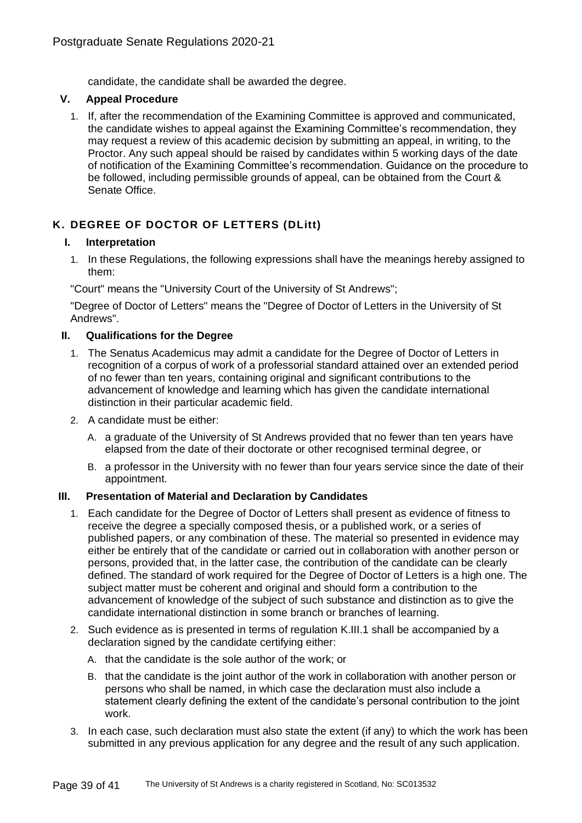candidate, the candidate shall be awarded the degree.

## **V. Appeal Procedure**

1. If, after the recommendation of the Examining Committee is approved and communicated, the candidate wishes to appeal against the Examining Committee's recommendation, they may request a review of this academic decision by submitting an appeal, in writing, to the Proctor. Any such appeal should be raised by candidates within 5 working days of the date of notification of the Examining Committee's recommendation. Guidance on the procedure to be followed, including permissible grounds of appeal, can be obtained from the Court & Senate Office.

# **K. DEGREE OF DOCTOR OF LETTERS (DLitt)**

## **I. Interpretation**

1. In these Regulations, the following expressions shall have the meanings hereby assigned to them:

"Court" means the "University Court of the University of St Andrews";

"Degree of Doctor of Letters" means the "Degree of Doctor of Letters in the University of St Andrews".

## **II. Qualifications for the Degree**

- 1. The Senatus Academicus may admit a candidate for the Degree of Doctor of Letters in recognition of a corpus of work of a professorial standard attained over an extended period of no fewer than ten years, containing original and significant contributions to the advancement of knowledge and learning which has given the candidate international distinction in their particular academic field.
- 2. A candidate must be either:
	- A. a graduate of the University of St Andrews provided that no fewer than ten years have elapsed from the date of their doctorate or other recognised terminal degree, or
	- B. a professor in the University with no fewer than four years service since the date of their appointment.

## **III. Presentation of Material and Declaration by Candidates**

- 1. Each candidate for the Degree of Doctor of Letters shall present as evidence of fitness to receive the degree a specially composed thesis, or a published work, or a series of published papers, or any combination of these. The material so presented in evidence may either be entirely that of the candidate or carried out in collaboration with another person or persons, provided that, in the latter case, the contribution of the candidate can be clearly defined. The standard of work required for the Degree of Doctor of Letters is a high one. The subject matter must be coherent and original and should form a contribution to the advancement of knowledge of the subject of such substance and distinction as to give the candidate international distinction in some branch or branches of learning.
- 2. Such evidence as is presented in terms of regulation K.III.1 shall be accompanied by a declaration signed by the candidate certifying either:
	- A. that the candidate is the sole author of the work; or
	- B. that the candidate is the joint author of the work in collaboration with another person or persons who shall be named, in which case the declaration must also include a statement clearly defining the extent of the candidate's personal contribution to the joint work.
- 3. In each case, such declaration must also state the extent (if any) to which the work has been submitted in any previous application for any degree and the result of any such application.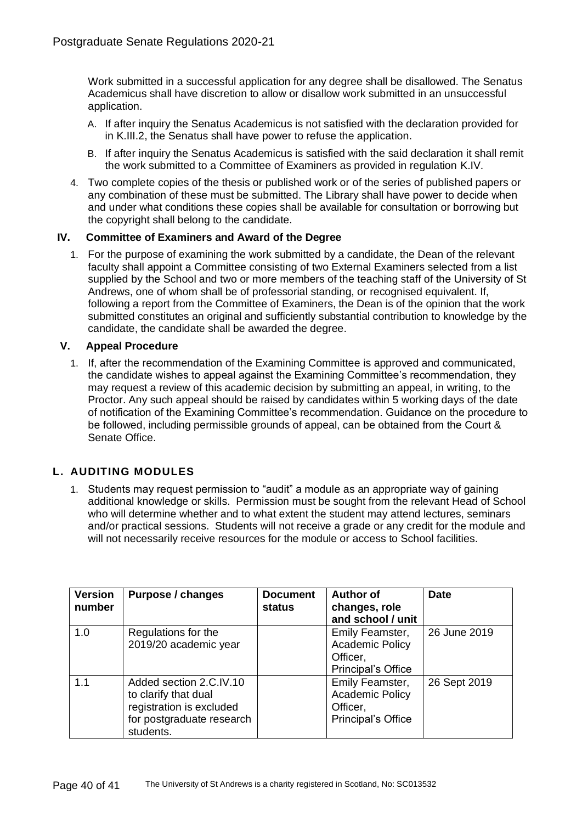Work submitted in a successful application for any degree shall be disallowed. The Senatus Academicus shall have discretion to allow or disallow work submitted in an unsuccessful application.

- A. If after inquiry the Senatus Academicus is not satisfied with the declaration provided for in K.III.2, the Senatus shall have power to refuse the application.
- B. If after inquiry the Senatus Academicus is satisfied with the said declaration it shall remit the work submitted to a Committee of Examiners as provided in regulation K.IV.
- 4. Two complete copies of the thesis or published work or of the series of published papers or any combination of these must be submitted. The Library shall have power to decide when and under what conditions these copies shall be available for consultation or borrowing but the copyright shall belong to the candidate.

## **IV. Committee of Examiners and Award of the Degree**

1. For the purpose of examining the work submitted by a candidate, the Dean of the relevant faculty shall appoint a Committee consisting of two External Examiners selected from a list supplied by the School and two or more members of the teaching staff of the University of St Andrews, one of whom shall be of professorial standing, or recognised equivalent. If, following a report from the Committee of Examiners, the Dean is of the opinion that the work submitted constitutes an original and sufficiently substantial contribution to knowledge by the candidate, the candidate shall be awarded the degree.

## **V. Appeal Procedure**

1. If, after the recommendation of the Examining Committee is approved and communicated, the candidate wishes to appeal against the Examining Committee's recommendation, they may request a review of this academic decision by submitting an appeal, in writing, to the Proctor. Any such appeal should be raised by candidates within 5 working days of the date of notification of the Examining Committee's recommendation. Guidance on the procedure to be followed, including permissible grounds of appeal, can be obtained from the Court & Senate Office.

# **L. AUDITING MODULES**

1. Students may request permission to "audit" a module as an appropriate way of gaining additional knowledge or skills. Permission must be sought from the relevant Head of School who will determine whether and to what extent the student may attend lectures, seminars and/or practical sessions. Students will not receive a grade or any credit for the module and will not necessarily receive resources for the module or access to School facilities.

| <b>Version</b><br>number | <b>Purpose / changes</b>                                                                                              | <b>Document</b><br>status | <b>Author of</b><br>changes, role<br>and school / unit                      | <b>Date</b>  |
|--------------------------|-----------------------------------------------------------------------------------------------------------------------|---------------------------|-----------------------------------------------------------------------------|--------------|
| 1.0                      | Regulations for the<br>2019/20 academic year                                                                          |                           | Emily Feamster,<br><b>Academic Policy</b><br>Officer,<br>Principal's Office | 26 June 2019 |
| 1.1                      | Added section 2.C.IV.10<br>to clarify that dual<br>registration is excluded<br>for postgraduate research<br>students. |                           | Emily Feamster,<br><b>Academic Policy</b><br>Officer,<br>Principal's Office | 26 Sept 2019 |